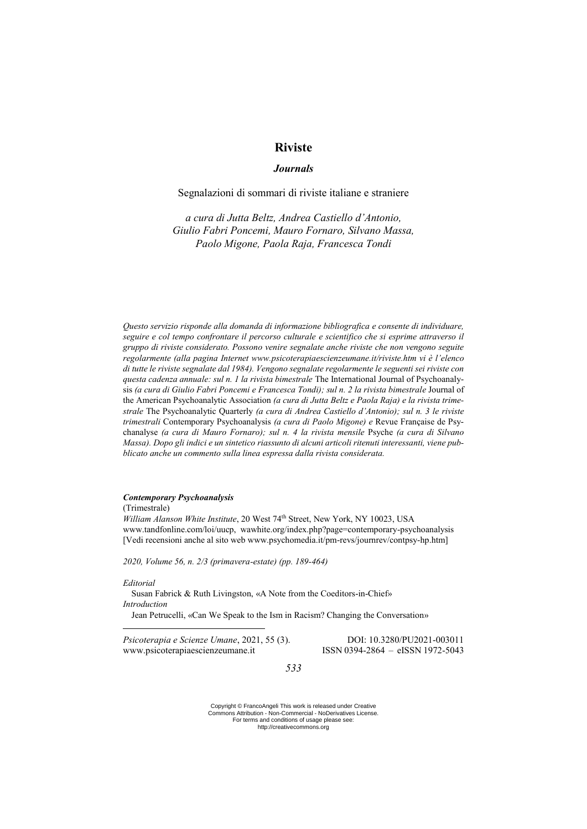# **Riviste**

## *Journals*

## Segnalazioni di sommari di riviste italiane e straniere

*a cura di Jutta Beltz, Andrea Castiello d'Antonio, Giulio Fabri Poncemi, Mauro Fornaro, Silvano Massa, Paolo Migone, Paola Raja, Francesca Tondi*

*Questo servizio risponde alla domanda di informazione bibliografica e consente di individuare, seguire e col tempo confrontare il percorso culturale e scientifico che si esprime attraverso il gruppo di riviste considerato. Possono venire segnalate anche riviste che non vengono seguite regolarmente (alla pagina Internet www.psicoterapiaescienzeumane.it/riviste.htm vi è l'elenco di tutte le riviste segnalate dal 1984). Vengono segnalate regolarmente le seguenti sei riviste con questa cadenza annuale: sul n. 1 la rivista bimestrale* The International Journal of Psychoanalysis (a cura di Giulio Fabri Poncemi e Francesca Tondi); sul n. 2 la rivista bimestrale Journal of the American Psychoanalytic Association *(a cura di Jutta Beltz e Paola Raja) e la rivista trimestrale* The Psychoanalytic Quarterly *(a cura di Andrea Castiello d'Antonio); sul n. 3 le riviste trimestrali* Contemporary Psychoanalysis *(a cura di Paolo Migone) e* Revue Française de Psychanalyse *(a cura di Mauro Fornaro); sul n. 4 la rivista mensile* Psyche *(a cura di Silvano Massa). Dopo gli indici e un sintetico riassunto di alcuni articoli ritenuti interessanti, viene pubblicato anche un commento sulla linea espressa dalla rivista considerata.* 

### *Contemporary Psychoanalysis*

(Trimestrale) *William Alanson White Institute*, 20 West 74th Street, New York, NY 10023, USA www.tandfonline.com/loi/uucp, wawhite.org/index.php?page=contemporary-psychoanalysis [Vedi recensioni anche al sito web www.psychomedia.it/pm-revs/journrev/contpsy-hp.htm]

*2020, Volume 56, n. 2/3 (primavera-estate) (pp. 189-464)*

#### *Editorial*

<u>.</u>

Susan Fabrick & Ruth Livingston, «A Note from the Coeditors-in-Chief» *Introduction*

Jean Petrucelli, «Can We Speak to the Ism in Racism? Changing the Conversation»

*Psicoterapia e Scienze Umane*, 2021, 55 (3). DOI: 10.3280/PU2021-003011 www.psicoterapiaescienzeumane.it ISSN 0394-2864 – eISSN 1972-5043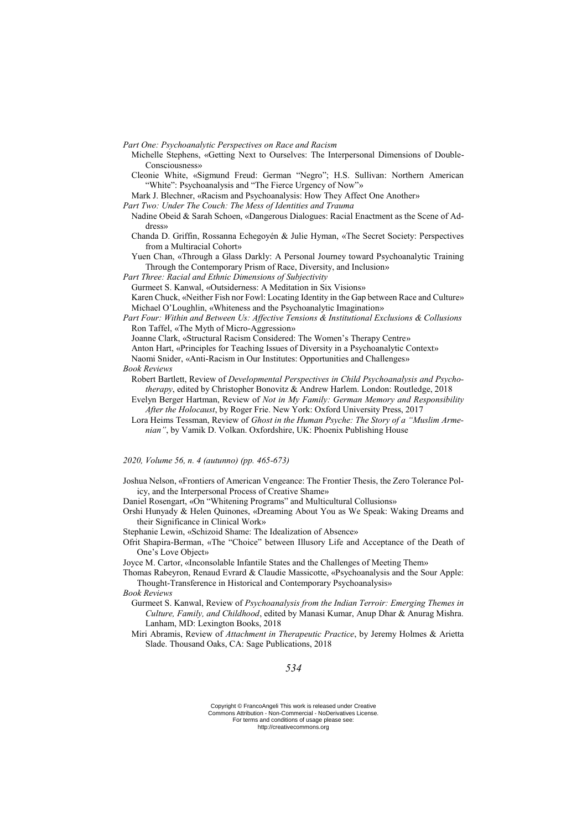*Part One: Psychoanalytic Perspectives on Race and Racism*

- Michelle Stephens, «Getting Next to Ourselves: The Interpersonal Dimensions of Double-Consciousness»
- Cleonie White, «Sigmund Freud: German "Negro"; H.S. Sullivan: Northern American "White": Psychoanalysis and "The Fierce Urgency of Now"»
- Mark J. Blechner, «Racism and Psychoanalysis: How They Affect One Another»

*Part Two: Under The Couch: The Mess of Identities and Trauma*

- Nadine Obeid & Sarah Schoen, «Dangerous Dialogues: Racial Enactment as the Scene of Address»
- Chanda D. Griffin, Rossanna Echegoyén & Julie Hyman, «The Secret Society: Perspectives from a Multiracial Cohort»
- Yuen Chan, «Through a Glass Darkly: A Personal Journey toward Psychoanalytic Training Through the Contemporary Prism of Race, Diversity, and Inclusion»

*Part Three: Racial and Ethnic Dimensions of Subjectivity*

Gurmeet S. Kanwal, «Outsiderness: A Meditation in Six Visions»

Karen Chuck, «Neither Fish nor Fowl: Locating Identity in the Gap between Race and Culture» Michael O'Loughlin, «Whiteness and the Psychoanalytic Imagination»

*Part Four: Within and Between Us: Affective Tensions & Institutional Exclusions & Collusions* Ron Taffel, «The Myth of Micro-Aggression»

Joanne Clark, «Structural Racism Considered: The Women's Therapy Centre»

- Anton Hart, «Principles for Teaching Issues of Diversity in a Psychoanalytic Context»
- Naomi Snider, «Anti-Racism in Our Institutes: Opportunities and Challenges»

*Book Reviews*

- Robert Bartlett, Review of *Developmental Perspectives in Child Psychoanalysis and Psychotherapy*, edited by Christopher Bonovitz & Andrew Harlem. London: Routledge, 2018
- Evelyn Berger Hartman, Review of *Not in My Family: German Memory and Responsibility After the Holocaust*, by Roger Frie. New York: Oxford University Press, 2017
- Lora Heims Tessman, Review of *Ghost in the Human Psyche: The Story of a "Muslim Armenian"*, by Vamik D. Volkan. Oxfordshire, UK: Phoenix Publishing House

*2020, Volume 56, n. 4 (autunno) (pp. 465-673)*

Joshua Nelson, «Frontiers of American Vengeance: The Frontier Thesis, the Zero Tolerance Policy, and the Interpersonal Process of Creative Shame»

Daniel Rosengart, «On "Whitening Programs" and Multicultural Collusions»

Orshi Hunyady & Helen Quinones, «Dreaming About You as We Speak: Waking Dreams and their Significance in Clinical Work»

Stephanie Lewin, «Schizoid Shame: The Idealization of Absence»

- Ofrit Shapira-Berman, «The "Choice" between Illusory Life and Acceptance of the Death of One's Love Object»
- Joyce M. Cartor, «Inconsolable Infantile States and the Challenges of Meeting Them»
- Thomas Rabeyron, Renaud Evrard & Claudie Massicotte, «Psychoanalysis and the Sour Apple: Thought-Transference in Historical and Contemporary Psychoanalysis»

#### *Book Reviews*

- Gurmeet S. Kanwal, Review of *Psychoanalysis from the Indian Terroir: Emerging Themes in Culture, Family, and Childhood*, edited by Manasi Kumar, Anup Dhar & Anurag Mishra. Lanham, MD: Lexington Books, 2018
- Miri Abramis, Review of *Attachment in Therapeutic Practice*, by Jeremy Holmes & Arietta Slade. Thousand Oaks, CA: Sage Publications, 2018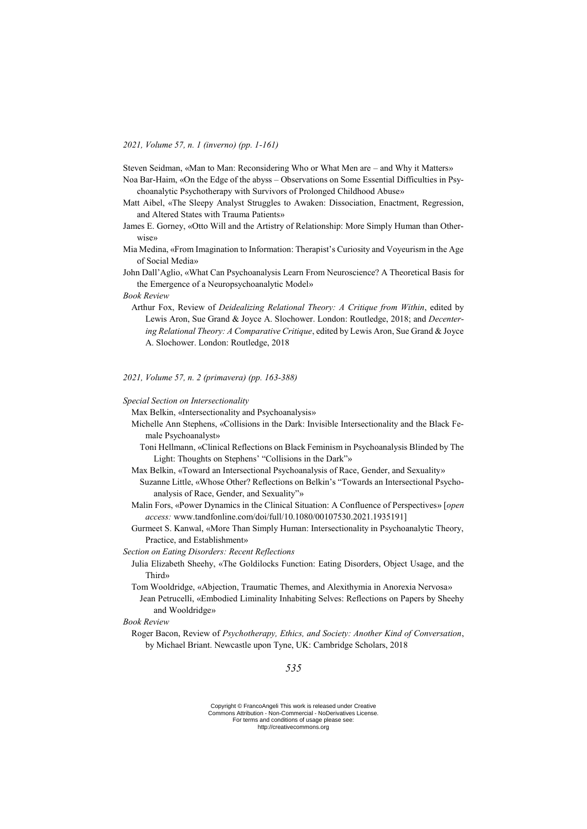*2021, Volume 57, n. 1 (inverno) (pp. 1-161)*

Steven Seidman, «Man to Man: Reconsidering Who or What Men are – and Why it Matters»

Noa Bar-Haim, «On the Edge of the abyss – Observations on Some Essential Difficulties in Psychoanalytic Psychotherapy with Survivors of Prolonged Childhood Abuse»

- Matt Aibel, «The Sleepy Analyst Struggles to Awaken: Dissociation, Enactment, Regression, and Altered States with Trauma Patients»
- James E. Gorney, «Otto Will and the Artistry of Relationship: More Simply Human than Otherwise»
- Mia Medina, «From Imagination to Information: Therapist's Curiosity and Voyeurism in the Age of Social Media»
- John Dall'Aglio, «What Can Psychoanalysis Learn From Neuroscience? A Theoretical Basis for the Emergence of a Neuropsychoanalytic Model»

*Book Review*

Arthur Fox, Review of *Deidealizing Relational Theory: A Critique from Within*, edited by Lewis Aron, Sue Grand & Joyce A. Slochower. London: Routledge, 2018; and *Decentering Relational Theory: A Comparative Critique*, edited by Lewis Aron, Sue Grand & Joyce A. Slochower. London: Routledge, 2018

*2021, Volume 57, n. 2 (primavera) (pp. 163-388)*

*Special Section on Intersectionality*

Max Belkin, «Intersectionality and Psychoanalysis»

- Michelle Ann Stephens, «Collisions in the Dark: Invisible Intersectionality and the Black Female Psychoanalyst»
	- Toni Hellmann, «Clinical Reflections on Black Feminism in Psychoanalysis Blinded by The Light: Thoughts on Stephens' "Collisions in the Dark"»
- Max Belkin, «Toward an Intersectional Psychoanalysis of Race, Gender, and Sexuality» Suzanne Little, «Whose Other? Reflections on Belkin's "Towards an Intersectional Psychoanalysis of Race, Gender, and Sexuality"»
- Malin Fors, «Power Dynamics in the Clinical Situation: A Confluence of Perspectives» [*open access:* www.tandfonline.com/doi/full/10.1080/00107530.2021.1935191]
- Gurmeet S. Kanwal, «More Than Simply Human: Intersectionality in Psychoanalytic Theory, Practice, and Establishment»

*Section on Eating Disorders: Recent Reflections*

- Julia Elizabeth Sheehy, «The Goldilocks Function: Eating Disorders, Object Usage, and the Third»
- Tom Wooldridge, «Abjection, Traumatic Themes, and Alexithymia in Anorexia Nervosa» Jean Petrucelli, «Embodied Liminality Inhabiting Selves: Reflections on Papers by Sheehy and Wooldridge»

*Book Review*

Roger Bacon, Review of *Psychotherapy, Ethics, and Society: Another Kind of Conversation*, by Michael Briant. Newcastle upon Tyne, UK: Cambridge Scholars, 2018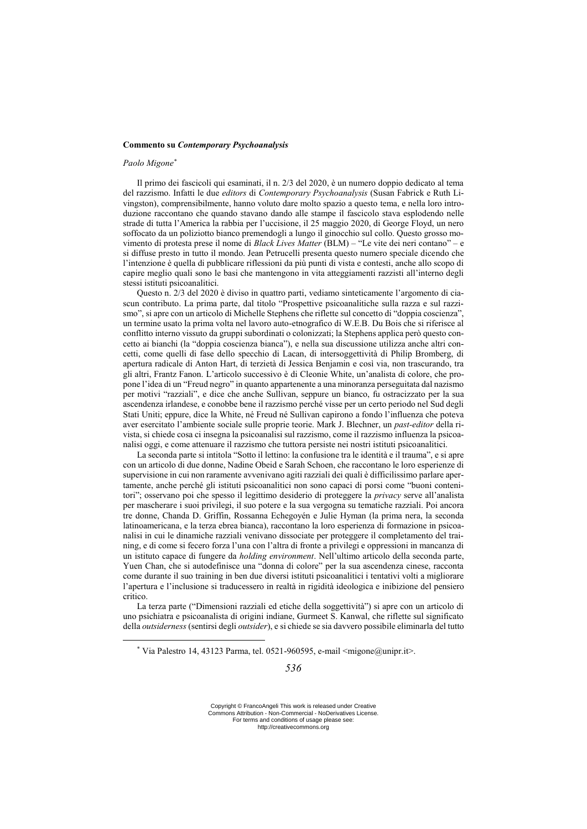#### **Commento su** *Contemporary Psychoanalysis*

## *Paolo Migone\**

<u>.</u>

Il primo dei fascicoli qui esaminati, il n. 2/3 del 2020, è un numero doppio dedicato al tema del razzismo. Infatti le due *editors* di *Contemporary Psychoanalysis* (Susan Fabrick e Ruth Livingston), comprensibilmente, hanno voluto dare molto spazio a questo tema, e nella loro introduzione raccontano che quando stavano dando alle stampe il fascicolo stava esplodendo nelle strade di tutta l'America la rabbia per l'uccisione, il 25 maggio 2020, di George Floyd, un nero soffocato da un poliziotto bianco premendogli a lungo il ginocchio sul collo. Questo grosso movimento di protesta prese il nome di *Black Lives Matter* (BLM) – "Le vite dei neri contano" – e si diffuse presto in tutto il mondo. Jean Petrucelli presenta questo numero speciale dicendo che l'intenzione è quella di pubblicare riflessioni da più punti di vista e contesti, anche allo scopo di capire meglio quali sono le basi che mantengono in vita atteggiamenti razzisti all'interno degli stessi istituti psicoanalitici.

Questo n. 2/3 del 2020 è diviso in quattro parti, vediamo sinteticamente l'argomento di ciascun contributo. La prima parte, dal titolo "Prospettive psicoanalitiche sulla razza e sul razzismo", si apre con un articolo di Michelle Stephens che riflette sul concetto di "doppia coscienza", un termine usato la prima volta nel lavoro auto-etnografico di W.E.B. Du Bois che si riferisce al conflitto interno vissuto da gruppi subordinati o colonizzati; la Stephens applica però questo concetto ai bianchi (la "doppia coscienza bianca"), e nella sua discussione utilizza anche altri concetti, come quelli di fase dello specchio di Lacan, di intersoggettività di Philip Bromberg, di apertura radicale di Anton Hart, di terzietà di Jessica Benjamin e così via, non trascurando, tra gli altri, Frantz Fanon. L'articolo successivo è di Cleonie White, un'analista di colore, che propone l'idea di un "Freud negro" in quanto appartenente a una minoranza perseguitata dal nazismo per motivi "razziali", e dice che anche Sullivan, seppure un bianco, fu ostracizzato per la sua ascendenza irlandese, e conobbe bene il razzismo perché visse per un certo periodo nel Sud degli Stati Uniti; eppure, dice la White, né Freud né Sullivan capirono a fondo l'influenza che poteva aver esercitato l'ambiente sociale sulle proprie teorie. Mark J. Blechner, un *past-editor* della rivista, si chiede cosa ci insegna la psicoanalisi sul razzismo, come il razzismo influenza la psicoanalisi oggi, e come attenuare il razzismo che tuttora persiste nei nostri istituti psicoanalitici.

La seconda parte si intitola "Sotto il lettino: la confusione tra le identità e il trauma", e si apre con un articolo di due donne, Nadine Obeid e Sarah Schoen, che raccontano le loro esperienze di supervisione in cui non raramente avvenivano agiti razziali dei quali è difficilissimo parlare apertamente, anche perché gli istituti psicoanalitici non sono capaci di porsi come "buoni contenitori"; osservano poi che spesso il legittimo desiderio di proteggere la *privacy* serve all'analista per mascherare i suoi privilegi, il suo potere e la sua vergogna su tematiche razziali. Poi ancora tre donne, Chanda D. Griffin, Rossanna Echegoyén e Julie Hyman (la prima nera, la seconda latinoamericana, e la terza ebrea bianca), raccontano la loro esperienza di formazione in psicoanalisi in cui le dinamiche razziali venivano dissociate per proteggere il completamento del training, e di come si fecero forza l'una con l'altra di fronte a privilegi e oppressioni in mancanza di un istituto capace di fungere da *holding environment*. Nell'ultimo articolo della seconda parte, Yuen Chan, che si autodefinisce una "donna di colore" per la sua ascendenza cinese, racconta come durante il suo training in ben due diversi istituti psicoanalitici i tentativi volti a migliorare l'apertura e l'inclusione si traducessero in realtà in rigidità ideologica e inibizione del pensiero critico.

La terza parte ("Dimensioni razziali ed etiche della soggettività") si apre con un articolo di uno psichiatra e psicoanalista di origini indiane, Gurmeet S. Kanwal, che riflette sul significato della *outsiderness* (sentirsi degli *outsider*), e si chiede se sia davvero possibile eliminarla del tutto

<sup>\*</sup> Via Palestro 14, 43123 Parma, tel. 0521-960595, e-mail  $\langle migone@unipr.i\rangle$ .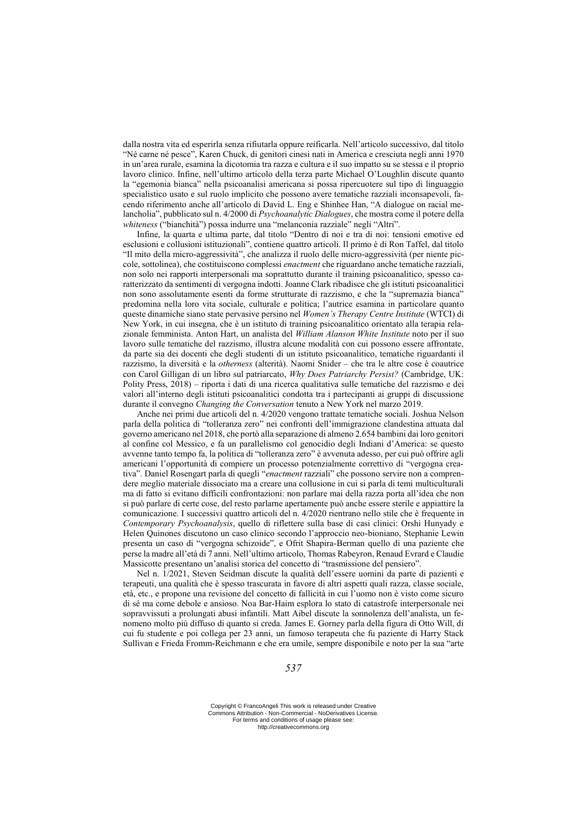dalla nostra vita ed esperirla senza rifiutarla oppure reificarla. Nell'articolo successivo, dal titolo "Né carne né pesce", Karen Chuck, di genitori cinesi nati in America e cresciuta negli anni 1970 in un'area rurale, esamina la dicotomia tra razza e cultura e il suo impatto su se stessa e il proprio lavoro clinico. Infine, nell'ultimo articolo della terza parte Michael O'Loughlin discute quanto la "egemonia bianca" nella psicoanalisi americana si possa ripercuotere sul tipo di linguaggio specialistico usato e sul ruolo implicito che possono avere tematiche razziali inconsapevoli, facendo riferimento anche all'articolo di David L. Eng e Shinhee Han, "A dialogue on racial melancholia", pubblicato sul n. 4/2000 di *Psychoanalytic Dialogues*, che mostra come il potere della *whiteness* ("bianchità") possa indurre una "melanconia razziale" negli "Altri".

Infine, la quarta e ultima parte, dal titolo "Dentro di noi e tra di noi: tensioni emotive ed esclusioni e collusioni istituzionali", contiene quattro articoli. Il primo è di Ron Taffel, dal titolo "Il mito della micro-aggressività", che analizza il ruolo delle micro-aggressività (per niente piccole, sottolinea), che costituiscono complessi *enactment* che riguardano anche tematiche razziali, non solo nei rapporti interpersonali ma soprattutto durante il training psicoanalitico, spesso caratterizzato da sentimenti di vergogna indotti. Joanne Clark ribadisce che gli istituti psicoanalitici non sono assolutamente esenti da forme strutturate di razzismo, e che la "supremazia bianca" predomina nella loro vita sociale, culturale e politica; l'autrice esamina in particolare quanto queste dinamiche siano state pervasive persino nel *Women's Therapy Centre Institute* (WTCI) di New York, in cui insegna, che è un istituto di training psicoanalitico orientato alla terapia relazionale femminista. Anton Hart, un analista del *William Alanson White Institute* noto per il suo lavoro sulle tematiche del razzismo, illustra alcune modalità con cui possono essere affrontate, da parte sia dei docenti che degli studenti di un istituto psicoanalitico, tematiche riguardanti il razzismo, la diversità e la *otherness* (alterità). Naomi Snider – che tra le altre cose è coautrice con Carol Gilligan di un libro sul patriarcato, *Why Does Patriarchy Persist?* (Cambridge, UK: Polity Press, 2018) – riporta i dati di una ricerca qualitativa sulle tematiche del razzismo e dei valori all'interno degli istituti psicoanalitici condotta tra i partecipanti ai gruppi di discussione durante il convegno *Changing the Conversation* tenuto a New York nel marzo 2019.

Anche nei primi due articoli del n. 4/2020 vengono trattate tematiche sociali. Joshua Nelson parla della politica di "tolleranza zero" nei confronti dell'immigrazione clandestina attuata dal governo americano nel 2018, che portò alla separazione di almeno 2.654 bambini dai loro genitori al confine col Messico, e fa un parallelismo col genocidio degli Indiani d'America: se questo avvenne tanto tempo fa, la politica di "tolleranza zero" è avvenuta adesso, per cui può offrire agli americani l'opportunità di compiere un processo potenzialmente correttivo di "vergogna creativa". Daniel Rosengart parla di quegli "*enactment* razziali" che possono servire non a comprendere meglio materiale dissociato ma a creare una collusione in cui si parla di temi multiculturali ma di fatto si evitano difficili confrontazioni: non parlare mai della razza porta all'idea che non si può parlare di certe cose, del resto parlarne apertamente può anche essere sterile e appiattire la comunicazione. I successivi quattro articoli del n. 4/2020 rientrano nello stile che è frequente in *Contemporary Psychoanalysis*, quello di riflettere sulla base di casi clinici: Orshi Hunyady e Helen Quinones discutono un caso clinico secondo l'approccio neo-bioniano, Stephanie Lewin presenta un caso di "vergogna schizoide", e Ofrit Shapira-Berman quello di una paziente che perse la madre all'età di 7 anni. Nell'ultimo articolo, Thomas Rabeyron, Renaud Evrard e Claudie Massicotte presentano un'analisi storica del concetto di "trasmissione del pensiero".

Nel n. 1/2021, Steven Seidman discute la qualità dell'essere uomini da parte di pazienti e terapeuti, una qualità che è spesso trascurata in favore di altri aspetti quali razza, classe sociale, età, etc., e propone una revisione del concetto di fallicità in cui l'uomo non è visto come sicuro di sé ma come debole e ansioso. Noa Bar-Haim esplora lo stato di catastrofe interpersonale nei sopravvissuti a prolungati abusi infantili. Matt Aibel discute la sonnolenza dell'analista, un fenomeno molto più diffuso di quanto si creda. James E. Gorney parla della figura di Otto Will, di cui fu studente e poi collega per 23 anni, un famoso terapeuta che fu paziente di Harry Stack Sullivan e Frieda Fromm-Reichmann e che era umile, sempre disponibile e noto per la sua "arte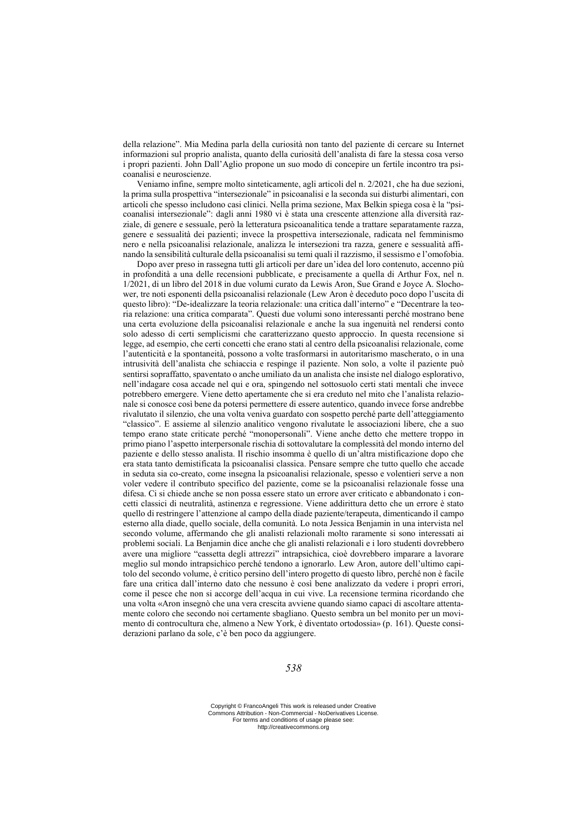della relazione". Mia Medina parla della curiosità non tanto del paziente di cercare su Internet informazioni sul proprio analista, quanto della curiosità dell'analista di fare la stessa cosa verso i propri pazienti. John Dall'Aglio propone un suo modo di concepire un fertile incontro tra psicoanalisi e neuroscienze.

Veniamo infine, sempre molto sinteticamente, agli articoli del n. 2/2021, che ha due sezioni, la prima sulla prospettiva "intersezionale" in psicoanalisi e la seconda sui disturbi alimentari, con articoli che spesso includono casi clinici. Nella prima sezione, Max Belkin spiega cosa è la "psicoanalisi intersezionale": dagli anni 1980 vi è stata una crescente attenzione alla diversità razziale, di genere e sessuale, però la letteratura psicoanalitica tende a trattare separatamente razza, genere e sessualità dei pazienti; invece la prospettiva intersezionale, radicata nel femminismo nero e nella psicoanalisi relazionale, analizza le intersezioni tra razza, genere e sessualità affinando la sensibilità culturale della psicoanalisi su temi quali il razzismo, il sessismo e l'omofobia.

Dopo aver preso in rassegna tutti gli articoli per dare un'idea del loro contenuto, accenno più in profondità a una delle recensioni pubblicate, e precisamente a quella di Arthur Fox, nel n. 1/2021, di un libro del 2018 in due volumi curato da Lewis Aron, Sue Grand e Joyce A. Slochower, tre noti esponenti della psicoanalisi relazionale (Lew Aron è deceduto poco dopo l'uscita di questo libro): "De-idealizzare la teoria relazionale: una critica dall'interno" e "Decentrare la teoria relazione: una critica comparata". Questi due volumi sono interessanti perché mostrano bene una certa evoluzione della psicoanalisi relazionale e anche la sua ingenuità nel rendersi conto solo adesso di certi semplicismi che caratterizzano questo approccio. In questa recensione si legge, ad esempio, che certi concetti che erano stati al centro della psicoanalisi relazionale, come l'autenticità e la spontaneità, possono a volte trasformarsi in autoritarismo mascherato, o in una intrusività dell'analista che schiaccia e respinge il paziente. Non solo, a volte il paziente può sentirsi sopraffatto, spaventato o anche umiliato da un analista che insiste nel dialogo esplorativo, nell'indagare cosa accade nel qui e ora, spingendo nel sottosuolo certi stati mentali che invece potrebbero emergere. Viene detto apertamente che si era creduto nel mito che l'analista relazionale si conosce così bene da potersi permettere di essere autentico, quando invece forse andrebbe rivalutato il silenzio, che una volta veniva guardato con sospetto perché parte dell'atteggiamento "classico". E assieme al silenzio analitico vengono rivalutate le associazioni libere, che a suo tempo erano state criticate perché "monopersonali". Viene anche detto che mettere troppo in primo piano l'aspetto interpersonale rischia di sottovalutare la complessità del mondo interno del paziente e dello stesso analista. Il rischio insomma è quello di un'altra mistificazione dopo che era stata tanto demistificata la psicoanalisi classica. Pensare sempre che tutto quello che accade in seduta sia co-creato, come insegna la psicoanalisi relazionale, spesso e volentieri serve a non voler vedere il contributo specifico del paziente, come se la psicoanalisi relazionale fosse una difesa. Ci si chiede anche se non possa essere stato un errore aver criticato e abbandonato i concetti classici di neutralità, astinenza e regressione. Viene addirittura detto che un errore è stato quello di restringere l'attenzione al campo della diade paziente/terapeuta, dimenticando il campo esterno alla diade, quello sociale, della comunità. Lo nota Jessica Benjamin in una intervista nel secondo volume, affermando che gli analisti relazionali molto raramente si sono interessati ai problemi sociali. La Benjamin dice anche che gli analisti relazionali e i loro studenti dovrebbero avere una migliore "cassetta degli attrezzi" intrapsichica, cioè dovrebbero imparare a lavorare meglio sul mondo intrapsichico perché tendono a ignorarlo. Lew Aron, autore dell'ultimo capitolo del secondo volume, è critico persino dell'intero progetto di questo libro, perché non è facile fare una critica dall'interno dato che nessuno è così bene analizzato da vedere i propri errori, come il pesce che non si accorge dell'acqua in cui vive. La recensione termina ricordando che una volta «Aron insegnò che una vera crescita avviene quando siamo capaci di ascoltare attentamente coloro che secondo noi certamente sbagliano. Questo sembra un bel monito per un movimento di controcultura che, almeno a New York, è diventato ortodossia» (p. 161). Queste considerazioni parlano da sole, c'è ben poco da aggiungere.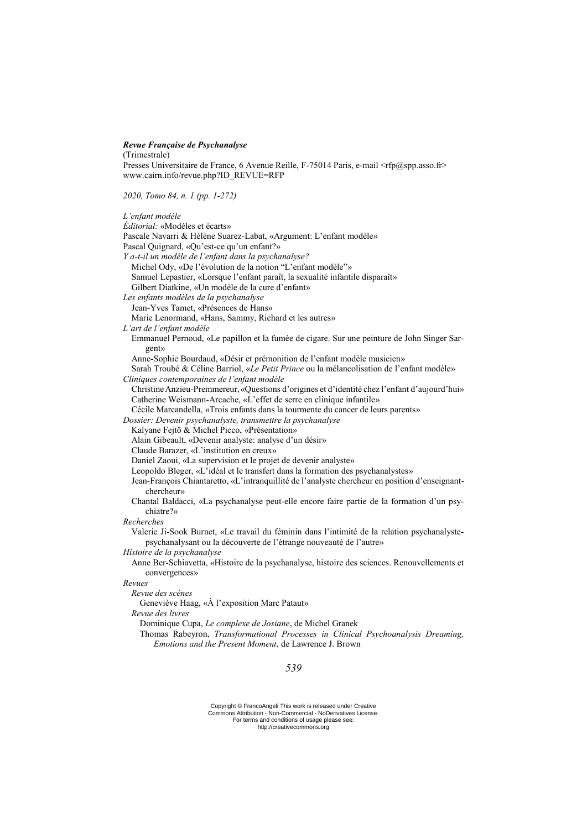## *Revue Française de Psychanalyse*

(Trimestrale)

Presses Universitaire de France, 6 Avenue Reille, F-75014 Paris, e-mail <rfp@spp.asso.fr> www.cairn.info/revue.php?ID\_REVUE=RFP

*2020, Tomo 84, n. 1 (pp. 1-272)*

| L'enfant modèle                                                                                                                                                    |
|--------------------------------------------------------------------------------------------------------------------------------------------------------------------|
| Éditorial: «Modèles et écarts»                                                                                                                                     |
| Pascale Navarri & Hélène Suarez-Labat, «Argument: L'enfant modèle»                                                                                                 |
| Pascal Quignard, «Qu'est-ce qu'un enfant?»                                                                                                                         |
| Y a-t-il un modèle de l'enfant dans la psychanalyse?                                                                                                               |
| Michel Ody, «De l'évolution de la notion "L'enfant modèle"»                                                                                                        |
| Samuel Lepastier, «Lorsque l'enfant paraît, la sexualité infantile disparaît»                                                                                      |
| Gilbert Diatkine, «Un modèle de la cure d'enfant»                                                                                                                  |
| Les enfants modèles de la psychanalyse                                                                                                                             |
| Jean-Yves Tamet, «Présences de Hans»                                                                                                                               |
| Marie Lenormand, «Hans, Sammy, Richard et les autres»                                                                                                              |
| L'art de l'enfant modèle                                                                                                                                           |
| Emmanuel Pernoud, «Le papillon et la fumée de cigare. Sur une peinture de John Singer Sar-<br>gent»                                                                |
| Anne-Sophie Bourdaud, «Désir et prémonition de l'enfant modèle musicien»                                                                                           |
| Sarah Troubé & Céline Barriol, «Le Petit Prince ou la mélancolisation de l'enfant modèle»                                                                          |
| Cliniques contemporaines de l'enfant modèle                                                                                                                        |
| Christine Anzieu-Premmereur, «Questions d'origines et d'identité chez l'enfant d'aujourd'hui»                                                                      |
| Catherine Weismann-Arcache, «L'effet de serre en clinique infantile»                                                                                               |
| Cécile Marcandella, «Trois enfants dans la tourmente du cancer de leurs parents»                                                                                   |
| Dossier: Devenir psychanalyste, transmettre la psychanalyse                                                                                                        |
| Kalyane Fejtö & Michel Picco, «Présentation»                                                                                                                       |
| Alain Gibeault, «Devenir analyste: analyse d'un désir»                                                                                                             |
| Claude Barazer, «L'institution en creux»                                                                                                                           |
| Daniel Zaoui, «La supervision et le projet de devenir analyste»                                                                                                    |
| Leopoldo Bleger, «L'idéal et le transfert dans la formation des psychanalystes»                                                                                    |
| Jean-François Chiantaretto, «L'intranquillité de l'analyste chercheur en position d'enseignant-<br>chercheur»                                                      |
| Chantal Baldacci, «La psychanalyse peut-elle encore faire partie de la formation d'un psy-                                                                         |
| chiatre?»                                                                                                                                                          |
| Recherches                                                                                                                                                         |
| Valerie Ji-Sook Burnet, «Le travail du féminin dans l'intimité de la relation psychanalyste-<br>psychanalysant ou la découverte de l'étrange nouveauté de l'autre» |
| Histoire de la psychanalyse                                                                                                                                        |
| Anne Ber-Schiavetta, «Histoire de la psychanalyse, histoire des sciences. Renouvellements et<br>convergences»                                                      |
| Revues                                                                                                                                                             |
| Revue des scènes                                                                                                                                                   |
| Geneviève Haag, «À l'exposition Marc Pataut»                                                                                                                       |
| Revue des livres                                                                                                                                                   |
| Dominique Cupa, Le complexe de Josiane, de Michel Granek                                                                                                           |
| Thomas Rabeyron, Transformational Processes in Clinical Psychoanalysis Dreaming,<br>Emotions and the Present Moment, de Lawrence J. Brown                          |
| 520                                                                                                                                                                |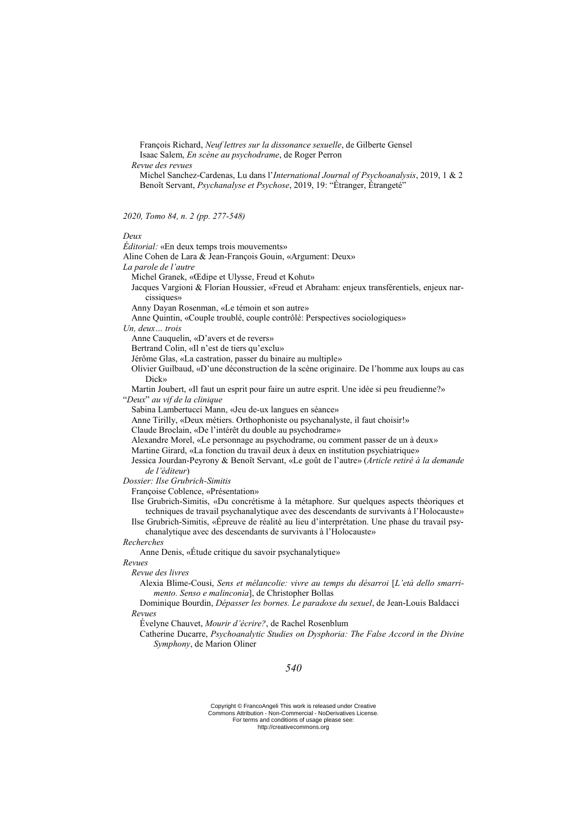François Richard, *Neuf lettres sur la dissonance sexuelle*, de Gilberte Gensel Isaac Salem, *En scène au psychodrame*, de Roger Perron

*Revue des revues*

Michel Sanchez-Cardenas, Lu dans l'*International Journal of Psychoanalysis*, 2019, 1 & 2 Benoît Servant, *Psychanalyse et Psychose*, 2019, 19: "Étranger, Étrangeté"

*2020, Tomo 84, n. 2 (pp. 277-548)*

## *Deux*

| реих                                                                                                                                                                                  |
|---------------------------------------------------------------------------------------------------------------------------------------------------------------------------------------|
| <i>Éditorial:</i> «En deux temps trois mouvements»                                                                                                                                    |
| Aline Cohen de Lara & Jean-François Gouin, «Argument: Deux»                                                                                                                           |
| La parole de l'autre                                                                                                                                                                  |
| Michel Granek, «Œdipe et Ulysse, Freud et Kohut»                                                                                                                                      |
| Jacques Vargioni & Florian Houssier, «Freud et Abraham: enjeux transférentiels, enjeux nar-                                                                                           |
| cissiques»                                                                                                                                                                            |
| Anny Dayan Rosenman, «Le témoin et son autre»                                                                                                                                         |
| Anne Quintin, «Couple troublé, couple contrôlé: Perspectives sociologiques»                                                                                                           |
| Un, deux trois                                                                                                                                                                        |
| Anne Cauquelin, «D'avers et de revers»                                                                                                                                                |
| Bertrand Colin, «Il n'est de tiers qu'exclu»                                                                                                                                          |
| Jérôme Glas, «La castration, passer du binaire au multiple»                                                                                                                           |
| Olivier Guilbaud, «D'une déconstruction de la scène originaire. De l'homme aux loups au cas<br>Dick»                                                                                  |
| Martin Joubert, «Il faut un esprit pour faire un autre esprit. Une idée si peu freudienne?»                                                                                           |
| "Deux" au vif de la clinique                                                                                                                                                          |
| Sabina Lambertucci Mann, «Jeu de-ux langues en séance»                                                                                                                                |
| Anne Tirilly, «Deux métiers. Orthophoniste ou psychanalyste, il faut choisir!»                                                                                                        |
| Claude Broclain, «De l'intérêt du double au psychodrame»                                                                                                                              |
| Alexandre Morel, «Le personnage au psychodrame, ou comment passer de un à deux»                                                                                                       |
| Martine Girard, «La fonction du travail deux à deux en institution psychiatrique»                                                                                                     |
| Jessica Jourdan-Peyrony & Benoît Servant, «Le goût de l'autre» (Article retiré à la demande                                                                                           |
| de l'éditeur)                                                                                                                                                                         |
| Dossier: Ilse Grubrich-Simitis                                                                                                                                                        |
| Françoise Coblence, «Présentation»                                                                                                                                                    |
| Ilse Grubrich-Simitis, «Du concrétisme à la métaphore. Sur quelques aspects théoriques et<br>techniques de travail psychanalytique avec des descendants de survivants à l'Holocauste» |
| Ilse Grubrich-Simitis, «Épreuve de réalité au lieu d'interprétation. Une phase du travail psy-<br>chanalytique avec des descendants de survivants à l'Holocauste»                     |
| Recherches                                                                                                                                                                            |
| Anne Denis, «Étude critique du savoir psychanalytique»                                                                                                                                |
| Revues                                                                                                                                                                                |
| Revue des livres                                                                                                                                                                      |
| Alexia Blime-Cousi, Sens et mélancolie: vivre au temps du désarroi [L'età dello smarri-                                                                                               |
| mento. Senso e malinconia], de Christopher Bollas                                                                                                                                     |
| Dominique Bourdin, Dépasser les bornes. Le paradoxe du sexuel, de Jean-Louis Baldacci                                                                                                 |
| Revues                                                                                                                                                                                |
| Évelyne Chauvet, Mourir d'écrire?, de Rachel Rosenblum                                                                                                                                |
| Catherine Ducarre, Psychoanalytic Studies on Dysphoria: The False Accord in the Divine<br>Symphony, de Marion Oliner                                                                  |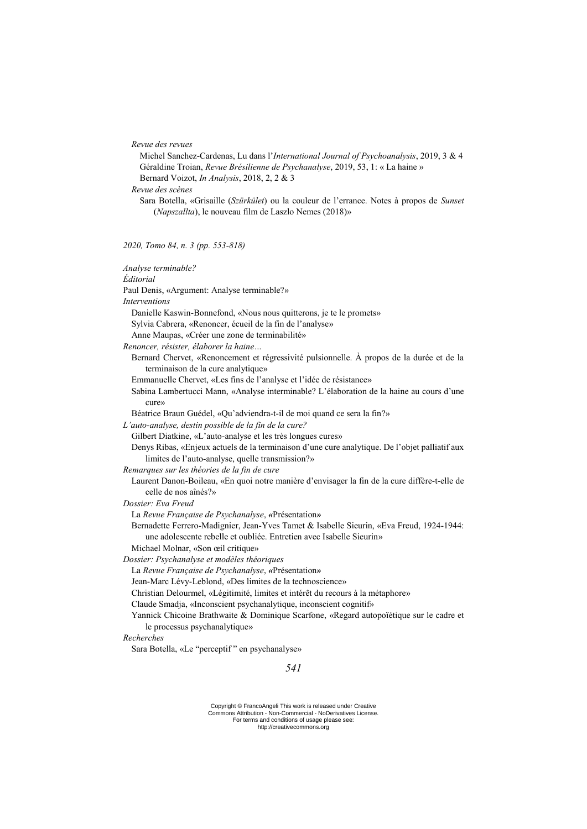| Revue des revues |  |
|------------------|--|
|------------------|--|

Michel Sanchez-Cardenas, Lu dans l'*International Journal of Psychoanalysis*, 2019, 3 & 4 Géraldine Troian, *Revue Brésilienne de Psychanalyse*, 2019, 53, 1: « La haine »

Bernard Voizot, *In Analysis*, 2018, 2, 2 & 3

*Revue des scènes*

Sara Botella, «Grisaille (*Szürkület*) ou la couleur de l'errance. Notes à propos de *Sunset* (*Napszallta*), le nouveau film de Laszlo Nemes (2018)»

*2020, Tomo 84, n. 3 (pp. 553-818)*

| Analyse terminable?                                                                                                             |
|---------------------------------------------------------------------------------------------------------------------------------|
| Éditorial                                                                                                                       |
| Paul Denis, «Argument: Analyse terminable?»                                                                                     |
| <b>Interventions</b>                                                                                                            |
| Danielle Kaswin-Bonnefond, «Nous nous quitterons, je te le promets»                                                             |
| Sylvia Cabrera, «Renoncer, écueil de la fin de l'analyse»                                                                       |
| Anne Maupas, «Créer une zone de terminabilité»                                                                                  |
| Renoncer, résister, élaborer la haine                                                                                           |
| Bernard Chervet, «Renoncement et régressivité pulsionnelle. À propos de la durée et de la<br>terminaison de la cure analytique» |
| Emmanuelle Chervet, «Les fins de l'analyse et l'idée de résistance»                                                             |
| Sabina Lambertucci Mann, «Analyse interminable? L'élaboration de la haine au cours d'une<br>cure»                               |
| Béatrice Braun Guédel, «Qu'adviendra-t-il de moi quand ce sera la fin?»                                                         |
| L'auto-analyse, destin possible de la fin de la cure?                                                                           |
| Gilbert Diatkine, «L'auto-analyse et les très longues cures»                                                                    |
| Denys Ribas, «Enjeux actuels de la terminaison d'une cure analytique. De l'objet palliatif aux                                  |
| limites de l'auto-analyse, quelle transmission?»                                                                                |
| Remarques sur les théories de la fin de cure                                                                                    |
| Laurent Danon-Boileau, «En quoi notre manière d'envisager la fin de la cure diffère-t-elle de                                   |
| celle de nos aînés?»                                                                                                            |
| Dossier: Eva Freud                                                                                                              |
| La Revue Française de Psychanalyse, «Présentation»                                                                              |
| Bernadette Ferrero-Madignier, Jean-Yves Tamet & Isabelle Sieurin, «Eva Freud, 1924-1944:                                        |
| une adolescente rebelle et oubliée. Entretien avec Isabelle Sieurin»                                                            |
| Michael Molnar, «Son œil critique»                                                                                              |
| Dossier: Psychanalyse et modèles théoriques                                                                                     |
| La Revue Française de Psychanalyse, «Présentation»                                                                              |
| Jean-Marc Lévy-Leblond, «Des limites de la technoscience»                                                                       |
| Christian Delourmel, «Légitimité, limites et intérêt du recours à la métaphore»                                                 |
| Claude Smadja, «Inconscient psychanalytique, inconscient cognitif»                                                              |
| Yannick Chicoine Brathwaite & Dominique Scarfone, «Regard autopoïétique sur le cadre et<br>le processus psychanalytique»        |
| Recherches                                                                                                                      |
| Sara Botella, «Le "perceptif" en psychanalyse»                                                                                  |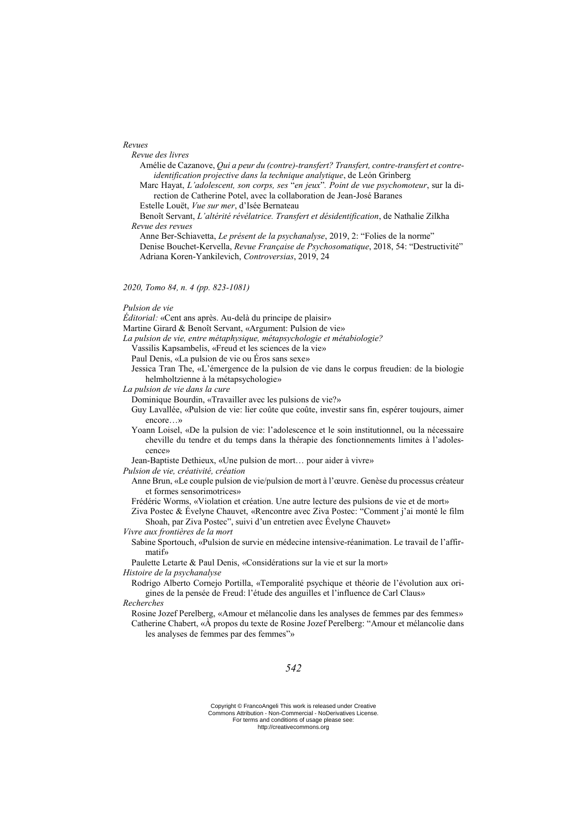*Revues*

*Revue des livres*

Amélie de Cazanove, *Qui a peur du (contre)-transfert? Transfert, contre-transfert et contreidentification projective dans la technique analytique*, de León Grinberg

Marc Hayat, *L'adolescent, son corps, ses* "*en jeux*"*. Point de vue psychomoteur*, sur la direction de Catherine Potel, avec la collaboration de Jean-José Baranes

Estelle Louët, *Vue sur mer*, d'Isée Bernateau

Benoît Servant, *L'altérité révélatrice. Transfert et désidentification*, de Nathalie Zilkha *Revue des revues*

Anne Ber-Schiavetta, *Le présent de la psychanalyse*, 2019, 2: "Folies de la norme" Denise Bouchet-Kervella, *Revue Française de Psychosomatique*, 2018, 54: "Destructivité" Adriana Koren-Yankilevich, *Controversias*, 2019, 24

*2020, Tomo 84, n. 4 (pp. 823-1081)*

*Pulsion de vie* 

*Éditorial:* «Cent ans après. Au-delà du principe de plaisir»

Martine Girard & Benoît Servant, «Argument: Pulsion de vie»

*La pulsion de vie, entre métaphysique, métapsychologie et métabiologie?*

Vassilis Kapsambelis, «Freud et les sciences de la vie»

Paul Denis, «La pulsion de vie ou Éros sans sexe»

Jessica Tran The, «L'émergence de la pulsion de vie dans le corpus freudien: de la biologie helmholtzienne à la métapsychologie»

*La pulsion de vie dans la cure*

Dominique Bourdin, «Travailler avec les pulsions de vie?»

Guy Lavallée, «Pulsion de vie: lier coûte que coûte, investir sans fin, espérer toujours, aimer encore…»

Yoann Loisel, «De la pulsion de vie: l'adolescence et le soin institutionnel, ou la nécessaire cheville du tendre et du temps dans la thérapie des fonctionnements limites à l'adolescence»

Jean-Baptiste Dethieux, «Une pulsion de mort… pour aider à vivre»

*Pulsion de vie, créativité, création*

Anne Brun, «Le couple pulsion de vie/pulsion de mort à l'œuvre. Genèse du processus créateur et formes sensorimotrices»

Frédéric Worms, «Violation et création. Une autre lecture des pulsions de vie et de mort»

Ziva Postec & Évelyne Chauvet, «Rencontre avec Ziva Postec: "Comment j'ai monté le film Shoah, par Ziva Postec", suivi d'un entretien avec Évelyne Chauvet»

*Vivre aux frontières de la mort*

Sabine Sportouch, «Pulsion de survie en médecine intensive-réanimation. Le travail de l'affirmatif»

Paulette Letarte & Paul Denis, «Considérations sur la vie et sur la mort»

*Histoire de la psychanalyse*

Rodrigo Alberto Cornejo Portilla, «Temporalité psychique et théorie de l'évolution aux origines de la pensée de Freud: l'étude des anguilles et l'influence de Carl Claus»

*Recherches*

Rosine Jozef Perelberg, «Amour et mélancolie dans les analyses de femmes par des femmes» Catherine Chabert, «À propos du texte de Rosine Jozef Perelberg: "Amour et mélancolie dans les analyses de femmes par des femmes"»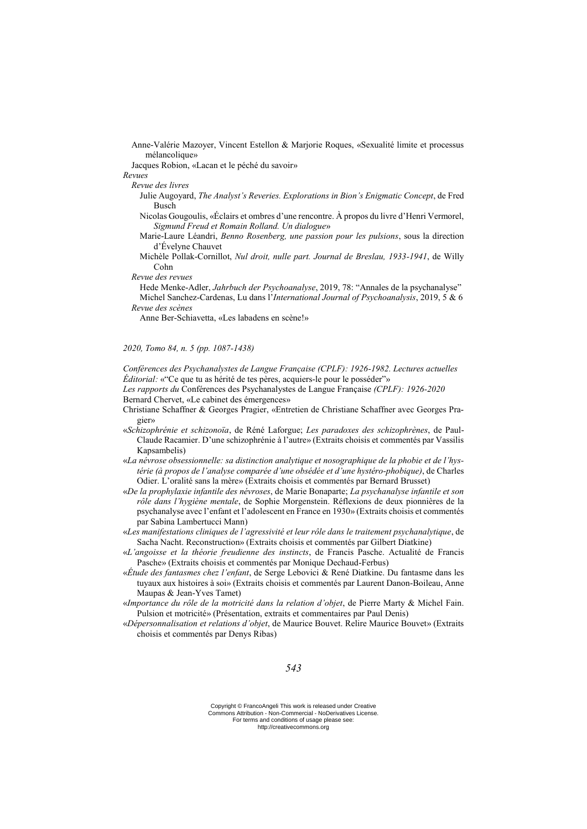Anne-Valérie Mazoyer, Vincent Estellon & Marjorie Roques, «Sexualité limite et processus mélancolique»

Jacques Robion, «Lacan et le péché du savoir»

*Revues*

*Revue des livres*

Julie Augoyard, *The Analyst's Reveries. Explorations in Bion's Enigmatic Concept*, de Fred Busch

Nicolas Gougoulis, «Éclairs et ombres d'une rencontre. À propos du livre d'Henri Vermorel, *Sigmund Freud et Romain Rolland. Un dialogue*»

Marie-Laure Léandri, *Benno Rosenberg, une passion pour les pulsions*, sous la direction d'Évelyne Chauvet

Michèle Pollak-Cornillot, *Nul droit, nulle part. Journal de Breslau, 1933-1941*, de Willy Cohn

*Revue des revues*

Hede Menke-Adler, *Jahrbuch der Psychoanalyse*, 2019, 78: "Annales de la psychanalyse" Michel Sanchez-Cardenas, Lu dans l'*International Journal of Psychoanalysis*, 2019, 5 & 6

*Revue des scènes*

Anne Ber-Schiavetta, «Les labadens en scène!»

*2020, Tomo 84, n. 5 (pp. 1087-1438)*

*Conférences des Psychanalystes de Langue Française (CPLF): 1926-1982. Lectures actuelles Éditorial:* «"Ce que tu as hérité de tes pères, acquiers-le pour le posséder"»

*Les rapports du* Conférences des Psychanalystes de Langue Française *(CPLF): 1926-2020* Bernard Chervet, «Le cabinet des émergences»

- Christiane Schaffner & Georges Pragier, «Entretien de Christiane Schaffner avec Georges Pragier»
- «*Schizophrénie et schizonoïa*, de Réné Laforgue; *Les paradoxes des schizophrènes*, de Paul-Claude Racamier. D'une schizophrénie à l'autre» (Extraits choisis et commentés par Vassilis Kapsambelis)
- «*La névrose obsessionnelle: sa distinction analytique et nosographique de la phobie et de l'hystérie (à propos de l'analyse comparée d'une obsédée et d'une hystéro-phobique)*, de Charles Odier. L'oralité sans la mère» (Extraits choisis et commentés par Bernard Brusset)
- «*De la prophylaxie infantile des névroses*, de Marie Bonaparte; *La psychanalyse infantile et son rôle dans l'hygiène mentale*, de Sophie Morgenstein. Réflexions de deux pionnières de la psychanalyse avec l'enfant et l'adolescent en France en 1930» (Extraits choisis et commentés par Sabina Lambertucci Mann)
- «*Les manifestations cliniques de l'agressivité et leur rôle dans le traitement psychanalytique*, de Sacha Nacht. Reconstruction» (Extraits choisis et commentés par Gilbert Diatkine)
- «*L'angoisse et la théorie freudienne des instincts*, de Francis Pasche. Actualité de Francis Pasche» (Extraits choisis et commentés par Monique Dechaud-Ferbus)
- «*Étude des fantasmes chez l'enfant*, de Serge Lebovici & René Diatkine. Du fantasme dans les tuyaux aux histoires à soi» (Extraits choisis et commentés par Laurent Danon-Boileau, Anne Maupas & Jean-Yves Tamet)
- «*Importance du rôle de la motricité dans la relation d'objet*, de Pierre Marty & Michel Fain. Pulsion et motricité» (Présentation, extraits et commentaires par Paul Denis)
- «*Dépersonnalisation et relations d'objet*, de Maurice Bouvet. Relire Maurice Bouvet» (Extraits choisis et commentés par Denys Ribas)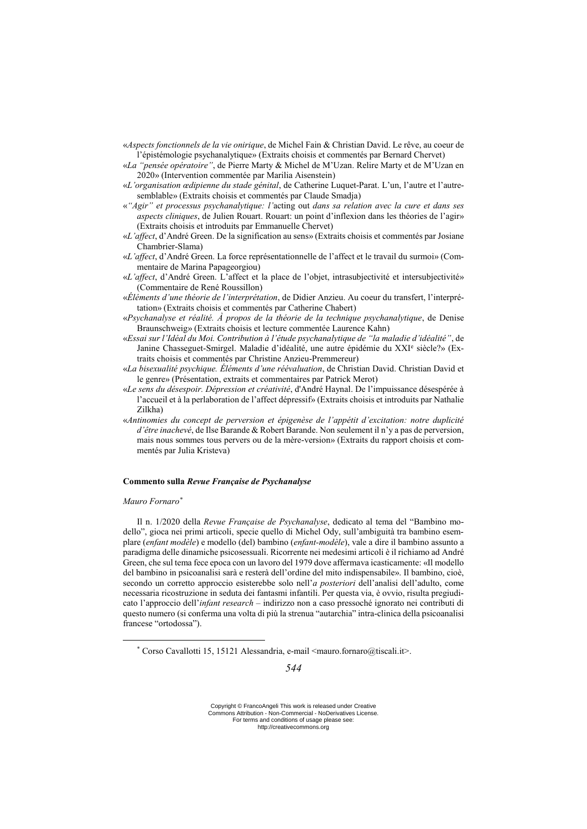«*Aspects fonctionnels de la vie onirique*, de Michel Fain & Christian David. Le rêve, au coeur de l'épistémologie psychanalytique» (Extraits choisis et commentés par Bernard Chervet)

- «*La "pensée opératoire"*, de Pierre Marty & Michel de M'Uzan. Relire Marty et de M'Uzan en 2020» (Intervention commentée par Marilia Aisenstein)
- «*L'organisation œdipienne du stade génital*, de Catherine Luquet-Parat. L'un, l'autre et l'autresemblable» (Extraits choisis et commentés par Claude Smadja)
- «*"Agir" et processus psychanalytique: l'*acting out *dans sa relation avec la cure et dans ses aspects cliniques*, de Julien Rouart. Rouart: un point d'inflexion dans les théories de l'agir» (Extraits choisis et introduits par Emmanuelle Chervet)
- «*L'affect*, d'André Green. De la signification au sens» (Extraits choisis et commentés par Josiane Chambrier-Slama)
- «*L'affect*, d'André Green. La force représentationnelle de l'affect et le travail du surmoi» (Commentaire de Marina Papageorgiou)
- «*L'affect*, d'André Green. L'affect et la place de l'objet, intrasubjectivité et intersubjectivité» (Commentaire de René Roussillon)
- «*Éléments d'une théorie de l'interprétation*, de Didier Anzieu. Au coeur du transfert, l'interprétation» (Extraits choisis et commentés par Catherine Chabert)
- «*Psychanalyse et réalité. À propos de la théorie de la technique psychanalytique*, de Denise Braunschweig» (Extraits choisis et lecture commentée Laurence Kahn)
- «*Essai sur l'Idéal du Moi. Contribution à l'étude psychanalytique de "la maladie d'idéalité"*, de Janine Chasseguet-Smirgel. Maladie d'idéalité, une autre épidémie du XXI<sup>e</sup> siècle?» (Extraits choisis et commentés par Christine Anzieu-Premmereur)
- «*La bisexualité psychique. Éléments d'une réévaluation*, de Christian David. Christian David et le genre» (Présentation, extraits et commentaires par Patrick Merot)
- «*Le sens du désespoir. Dépression et créativité*, d'André Haynal. De l'impuissance désespérée à l'accueil et à la perlaboration de l'affect dépressif» (Extraits choisis et introduits par Nathalie Zilkha)
- «*Antinomies du concept de perversion et épigenèse de l'appétit d'excitation: notre duplicité d'être inachevé*, de Ilse Barande & Robert Barande. Non seulement il n'y a pas de perversion, mais nous sommes tous pervers ou de la mère-version» (Extraits du rapport choisis et commentés par Julia Kristeva)

## **Commento sulla** *Revue Française de Psychanalyse*

### *Mauro Fornaro\**

<u>.</u>

Il n. 1/2020 della *Revue Française de Psychanalyse*, dedicato al tema del "Bambino modello", gioca nei primi articoli, specie quello di Michel Ody, sull'ambiguità tra bambino esemplare (*enfant modèle*) e modello (del) bambino (*enfant-modèle*), vale a dire il bambino assunto a paradigma delle dinamiche psicosessuali. Ricorrente nei medesimi articoli è il richiamo ad André Green, che sul tema fece epoca con un lavoro del 1979 dove affermava icasticamente: «Il modello del bambino in psicoanalisi sarà e resterà dell'ordine del mito indispensabile». Il bambino, cioè, secondo un corretto approccio esisterebbe solo nell'*a posteriori* dell'analisi dell'adulto, come necessaria ricostruzione in seduta dei fantasmi infantili. Per questa via, è ovvio, risulta pregiudicato l'approccio dell'*infant research* – indirizzo non a caso pressoché ignorato nei contributi di questo numero (si conferma una volta di più la strenua "autarchia" intra-clinica della psicoanalisi francese "ortodossa").

<sup>\*</sup> Corso Cavallotti 15, 15121 Alessandria, e-mail <mauro.fornaro@tiscali.it>.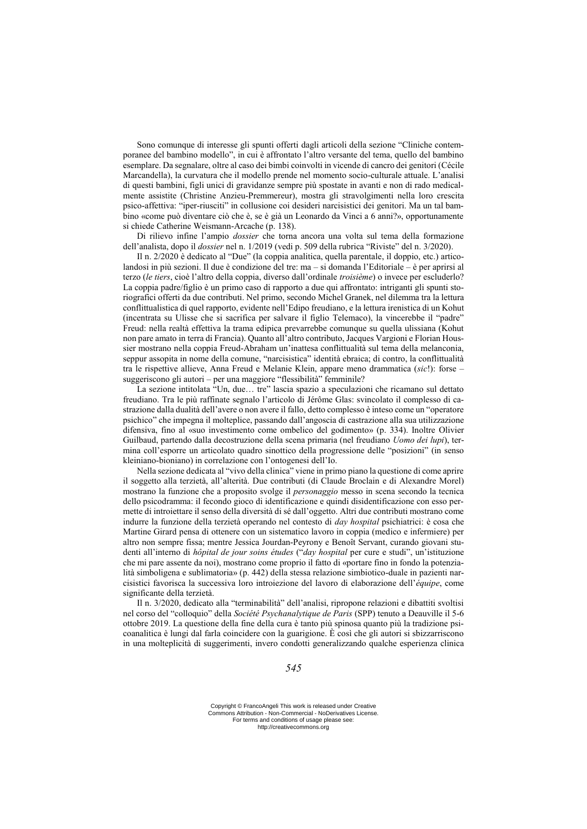Sono comunque di interesse gli spunti offerti dagli articoli della sezione "Cliniche contemporanee del bambino modello", in cui è affrontato l'altro versante del tema, quello del bambino esemplare. Da segnalare, oltre al caso dei bimbi coinvolti in vicende di cancro dei genitori (Cécile Marcandella), la curvatura che il modello prende nel momento socio-culturale attuale. L'analisi di questi bambini, figli unici di gravidanze sempre più spostate in avanti e non di rado medicalmente assistite (Christine Anzieu-Premmereur), mostra gli stravolgimenti nella loro crescita psico-affettiva: "iper-riusciti" in collusione coi desideri narcisistici dei genitori. Ma un tal bambino «come può diventare ciò che è, se è già un Leonardo da Vinci a 6 anni?», opportunamente si chiede Catherine Weismann-Arcache (p. 138).

Di rilievo infine l'ampio *dossier* che torna ancora una volta sul tema della formazione dell'analista, dopo il *dossier* nel n. 1/2019 (vedi p. 509 della rubrica "Riviste" del n. 3/2020).

Il n. 2/2020 è dedicato al "Due" (la coppia analitica, quella parentale, il doppio, etc.) articolandosi in più sezioni. Il due è condizione del tre: ma – si domanda l'Editoriale – è per aprirsi al terzo (*le tiers*, cioè l'altro della coppia, diverso dall'ordinale *troisième*) o invece per escluderlo? La coppia padre/figlio è un primo caso di rapporto a due qui affrontato: intriganti gli spunti storiografici offerti da due contributi. Nel primo, secondo Michel Granek, nel dilemma tra la lettura conflittualistica di quel rapporto, evidente nell'Edipo freudiano, e la lettura irenistica di un Kohut (incentrata su Ulisse che si sacrifica per salvare il figlio Telemaco), la vincerebbe il "padre" Freud: nella realtà effettiva la trama edipica prevarrebbe comunque su quella ulissiana (Kohut non pare amato in terra di Francia). Quanto all'altro contributo, Jacques Vargioni e Florian Houssier mostrano nella coppia Freud-Abraham un'inattesa conflittualità sul tema della melanconia, seppur assopita in nome della comune, "narcisistica" identità ebraica; di contro, la conflittualità tra le rispettive allieve, Anna Freud e Melanie Klein, appare meno drammatica (*sic*!): forse – suggeriscono gli autori – per una maggiore "flessibilità" femminile?

La sezione intitolata "Un, due… tre" lascia spazio a speculazioni che ricamano sul dettato freudiano. Tra le più raffinate segnalo l'articolo di Jérôme Glas: svincolato il complesso di castrazione dalla dualità dell'avere o non avere il fallo, detto complesso è inteso come un "operatore psichico" che impegna il molteplice, passando dall'angoscia di castrazione alla sua utilizzazione difensiva, fino al «suo investimento come ombelico del godimento» (p. 334). Inoltre Olivier Guilbaud, partendo dalla decostruzione della scena primaria (nel freudiano *Uomo dei lupi*), termina coll'esporre un articolato quadro sinottico della progressione delle "posizioni" (in senso kleiniano-bioniano) in correlazione con l'ontogenesi dell'Io.

Nella sezione dedicata al "vivo della clinica" viene in primo piano la questione di come aprire il soggetto alla terzietà, all'alterità. Due contributi (di Claude Broclain e di Alexandre Morel) mostrano la funzione che a proposito svolge il *personaggio* messo in scena secondo la tecnica dello psicodramma: il fecondo gioco di identificazione e quindi disidentificazione con esso permette di introiettare il senso della diversità di sé dall'oggetto. Altri due contributi mostrano come indurre la funzione della terzietà operando nel contesto di *day hospital* psichiatrici: è cosa che Martine Girard pensa di ottenere con un sistematico lavoro in coppia (medico e infermiere) per altro non sempre fissa; mentre Jessica Jourdan-Peyrony e Benoît Servant, curando giovani studenti all'interno di *hôpital de jour soins études* ("*day hospital* per cure e studi", un'istituzione che mi pare assente da noi), mostrano come proprio il fatto di «portare fino in fondo la potenzialità simboligena e sublimatoria» (p. 442) della stessa relazione simbiotico-duale in pazienti narcisistici favorisca la successiva loro introiezione del lavoro di elaborazione dell'*équipe*, come significante della terzietà.

Il n. 3/2020, dedicato alla "terminabilità" dell'analisi, ripropone relazioni e dibattiti svoltisi nel corso del "colloquio" della *Société Psychanalytique de Paris* (SPP) tenuto a Deauville il 5-6 ottobre 2019. La questione della fine della cura è tanto più spinosa quanto più la tradizione psicoanalitica è lungi dal farla coincidere con la guarigione. È così che gli autori si sbizzarriscono in una molteplicità di suggerimenti, invero condotti generalizzando qualche esperienza clinica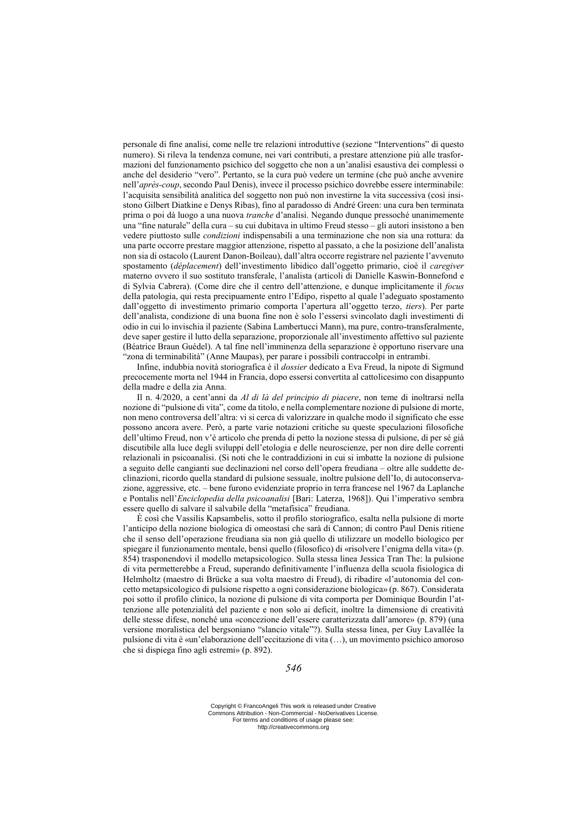personale di fine analisi, come nelle tre relazioni introduttive (sezione "Interventions" di questo numero). Si rileva la tendenza comune, nei vari contributi, a prestare attenzione più alle trasformazioni del funzionamento psichico del soggetto che non a un'analisi esaustiva dei complessi o anche del desiderio "vero". Pertanto, se la cura può vedere un termine (che può anche avvenire nell'*après-coup*, secondo Paul Denis), invece il processo psichico dovrebbe essere interminabile: l'acquisita sensibilità analitica del soggetto non può non investirne la vita successiva (così insistono Gilbert Diatkine e Denys Ribas), fino al paradosso di André Green: una cura ben terminata prima o poi dà luogo a una nuova *tranche* d'analisi. Negando dunque pressoché unanimemente una "fine naturale" della cura – su cui dubitava in ultimo Freud stesso – gli autori insistono a ben vedere piuttosto sulle *condizioni* indispensabili a una terminazione che non sia una rottura: da una parte occorre prestare maggior attenzione, rispetto al passato, a che la posizione dell'analista non sia di ostacolo (Laurent Danon-Boileau), dall'altra occorre registrare nel paziente l'avvenuto spostamento (*déplacement*) dell'investimento libidico dall'oggetto primario, cioè il *caregiver* materno ovvero il suo sostituto transferale, l'analista (articoli di Danielle Kaswin-Bonnefond e di Sylvia Cabrera). (Come dire che il centro dell'attenzione, e dunque implicitamente il *focus* della patologia, qui resta precipuamente entro l'Edipo, rispetto al quale l'adeguato spostamento dall'oggetto di investimento primario comporta l'apertura all'oggetto terzo, *tiers*). Per parte dell'analista, condizione di una buona fine non è solo l'essersi svincolato dagli investimenti di odio in cui lo invischia il paziente (Sabina Lambertucci Mann), ma pure, contro-transferalmente, deve saper gestire il lutto della separazione, proporzionale all'investimento affettivo sul paziente (Béatrice Braun Guédel). A tal fine nell'imminenza della separazione è opportuno riservare una "zona di terminabilità" (Anne Maupas), per parare i possibili contraccolpi in entrambi.

Infine, indubbia novità storiografica è il *dossier* dedicato a Eva Freud, la nipote di Sigmund precocemente morta nel 1944 in Francia, dopo essersi convertita al cattolicesimo con disappunto della madre e della zia Anna.

Il n. 4/2020, a cent'anni da *Al di là del principio di piacere*, non teme di inoltrarsi nella nozione di "pulsione di vita", come da titolo, e nella complementare nozione di pulsione di morte, non meno controversa dell'altra: vi si cerca di valorizzare in qualche modo il significato che esse possono ancora avere. Però, a parte varie notazioni critiche su queste speculazioni filosofiche dell'ultimo Freud, non v'è articolo che prenda di petto la nozione stessa di pulsione, di per sé già discutibile alla luce degli sviluppi dell'etologia e delle neuroscienze, per non dire delle correnti relazionali in psicoanalisi. (Si noti che le contraddizioni in cui si imbatte la nozione di pulsione a seguito delle cangianti sue declinazioni nel corso dell'opera freudiana – oltre alle suddette declinazioni, ricordo quella standard di pulsione sessuale, inoltre pulsione dell'Io, di autoconservazione, aggressive, etc. – bene furono evidenziate proprio in terra francese nel 1967 da Laplanche e Pontalis nell'*Enciclopedia della psicoanalisi* [Bari: Laterza, 1968]). Qui l'imperativo sembra essere quello di salvare il salvabile della "metafisica" freudiana.

È così che Vassilis Kapsambelis, sotto il profilo storiografico, esalta nella pulsione di morte l'anticipo della nozione biologica di omeostasi che sarà di Cannon; di contro Paul Denis ritiene che il senso dell'operazione freudiana sia non già quello di utilizzare un modello biologico per spiegare il funzionamento mentale, bensì quello (filosofico) di «risolvere l'enigma della vita» (p. 854) trasponendovi il modello metapsicologico. Sulla stessa linea Jessica Tran The: la pulsione di vita permetterebbe a Freud, superando definitivamente l'influenza della scuola fisiologica di Helmholtz (maestro di Brücke a sua volta maestro di Freud), di ribadire «l'autonomia del concetto metapsicologico di pulsione rispetto a ogni considerazione biologica» (p. 867). Considerata poi sotto il profilo clinico, la nozione di pulsione di vita comporta per Dominique Bourdin l'attenzione alle potenzialità del paziente e non solo ai deficit, inoltre la dimensione di creatività delle stesse difese, nonché una «concezione dell'essere caratterizzata dall'amore» (p. 879) (una versione moralistica del bergsoniano "slancio vitale"?). Sulla stessa linea, per Guy Lavallée la pulsione di vita è «un'elaborazione dell'eccitazione di vita (…), un movimento psichico amoroso che si dispiega fino agli estremi» (p. 892).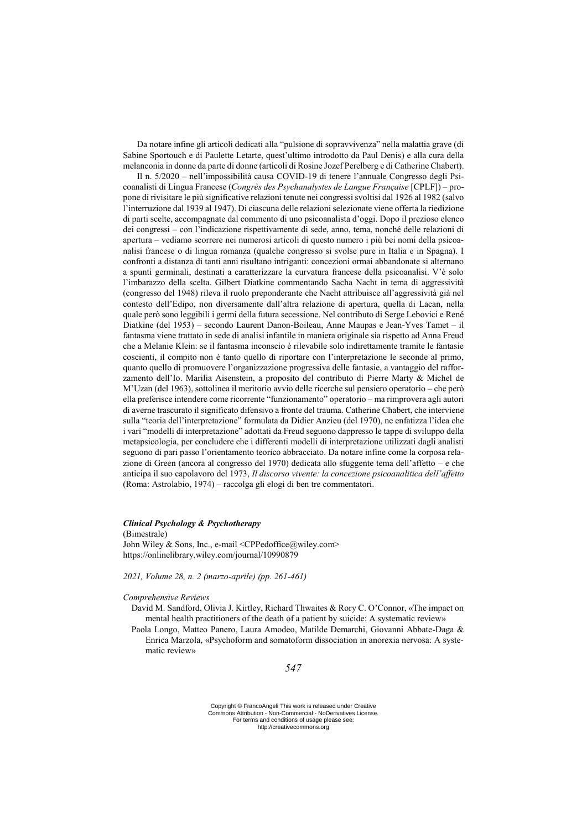Da notare infine gli articoli dedicati alla "pulsione di sopravvivenza" nella malattia grave (di Sabine Sportouch e di Paulette Letarte, quest'ultimo introdotto da Paul Denis) e alla cura della melanconia in donne da parte di donne (articoli di Rosine Jozef Perelberg e di Catherine Chabert).

Il n. 5/2020 – nell'impossibilità causa COVID-19 di tenere l'annuale Congresso degli Psicoanalisti di Lingua Francese (*Congrès des Psychanalystes de Langue Française* [CPLF]) – propone di rivisitare le più significative relazioni tenute nei congressi svoltisi dal 1926 al 1982 (salvo l'interruzione dal 1939 al 1947). Di ciascuna delle relazioni selezionate viene offerta la riedizione di parti scelte, accompagnate dal commento di uno psicoanalista d'oggi. Dopo il prezioso elenco dei congressi – con l'indicazione rispettivamente di sede, anno, tema, nonché delle relazioni di apertura – vediamo scorrere nei numerosi articoli di questo numero i più bei nomi della psicoanalisi francese o di lingua romanza (qualche congresso si svolse pure in Italia e in Spagna). I confronti a distanza di tanti anni risultano intriganti: concezioni ormai abbandonate si alternano a spunti germinali, destinati a caratterizzare la curvatura francese della psicoanalisi. V'è solo l'imbarazzo della scelta. Gilbert Diatkine commentando Sacha Nacht in tema di aggressività (congresso del 1948) rileva il ruolo preponderante che Nacht attribuisce all'aggressività già nel contesto dell'Edipo, non diversamente dall'altra relazione di apertura, quella di Lacan, nella quale però sono leggibili i germi della futura secessione. Nel contributo di Serge Lebovici e René Diatkine (del 1953) – secondo Laurent Danon-Boileau, Anne Maupas e Jean-Yves Tamet – il fantasma viene trattato in sede di analisi infantile in maniera originale sia rispetto ad Anna Freud che a Melanie Klein: se il fantasma inconscio è rilevabile solo indirettamente tramite le fantasie coscienti, il compito non è tanto quello di riportare con l'interpretazione le seconde al primo, quanto quello di promuovere l'organizzazione progressiva delle fantasie, a vantaggio del rafforzamento dell'Io. Marilia Aisenstein, a proposito del contributo di Pierre Marty & Michel de M'Uzan (del 1963), sottolinea il meritorio avvio delle ricerche sul pensiero operatorio – che però ella preferisce intendere come ricorrente "funzionamento" operatorio – ma rimprovera agli autori di averne trascurato il significato difensivo a fronte del trauma. Catherine Chabert, che interviene sulla "teoria dell'interpretazione" formulata da Didier Anzieu (del 1970), ne enfatizza l'idea che i vari "modelli di interpretazione" adottati da Freud seguono dappresso le tappe di sviluppo della metapsicologia, per concludere che i differenti modelli di interpretazione utilizzati dagli analisti seguono di pari passo l'orientamento teorico abbracciato. Da notare infine come la corposa relazione di Green (ancora al congresso del 1970) dedicata allo sfuggente tema dell'affetto – e che anticipa il suo capolavoro del 1973, *Il discorso vivente: la concezione psicoanalitica dell'affetto* (Roma: Astrolabio, 1974) – raccolga gli elogi di ben tre commentatori.

### *Clinical Psychology & Psychotherapy*

(Bimestrale) John Wiley & Sons, Inc., e-mail <CPPedoffice@wiley.com> https://onlinelibrary.wiley.com/journal/10990879

*2021, Volume 28, n. 2 (marzo-aprile) (pp. 261-461)*

### *Comprehensive Reviews*

David M. Sandford, Olivia J. Kirtley, Richard Thwaites & Rory C. O'Connor, «The impact on mental health practitioners of the death of a patient by suicide: A systematic review»

Paola Longo, Matteo Panero, Laura Amodeo, Matilde Demarchi, Giovanni Abbate-Daga & Enrica Marzola, «Psychoform and somatoform dissociation in anorexia nervosa: A systematic review»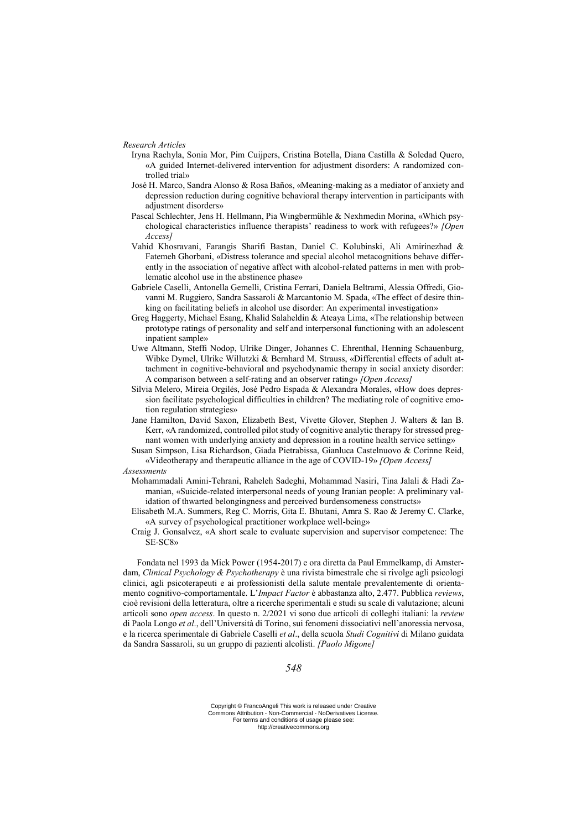*Research Articles*

- Iryna Rachyla, Sonia Mor, Pim Cuijpers, Cristina Botella, Diana Castilla & Soledad Quero, «A guided Internet-delivered intervention for adjustment disorders: A randomized controlled trial»
- José H. Marco, Sandra Alonso & Rosa Baños, «Meaning-making as a mediator of anxiety and depression reduction during cognitive behavioral therapy intervention in participants with adjustment disorders»
- Pascal Schlechter, Jens H. Hellmann, Pia Wingbermühle & Nexhmedin Morina, «Which psychological characteristics influence therapists' readiness to work with refugees?» *[Open Access]*
- Vahid Khosravani, Farangis Sharifi Bastan, Daniel C. Kolubinski, Ali Amirinezhad & Fatemeh Ghorbani, «Distress tolerance and special alcohol metacognitions behave differently in the association of negative affect with alcohol-related patterns in men with problematic alcohol use in the abstinence phase»
- Gabriele Caselli, Antonella Gemelli, Cristina Ferrari, Daniela Beltrami, Alessia Offredi, Giovanni M. Ruggiero, Sandra Sassaroli & Marcantonio M. Spada, «The effect of desire thinking on facilitating beliefs in alcohol use disorder: An experimental investigation»
- Greg Haggerty, Michael Esang, Khalid Salaheldin & Ateaya Lima, «The relationship between prototype ratings of personality and self and interpersonal functioning with an adolescent inpatient sample»
- Uwe Altmann, Steffi Nodop, Ulrike Dinger, Johannes C. Ehrenthal, Henning Schauenburg, Wibke Dymel, Ulrike Willutzki & Bernhard M. Strauss, «Differential effects of adult attachment in cognitive-behavioral and psychodynamic therapy in social anxiety disorder: A comparison between a self-rating and an observer rating» *[Open Access]*
- Silvia Melero, Mireia Orgilés, José Pedro Espada & Alexandra Morales, «How does depression facilitate psychological difficulties in children? The mediating role of cognitive emotion regulation strategies»
- Jane Hamilton, David Saxon, Elizabeth Best, Vivette Glover, Stephen J. Walters & Ian B. Kerr, «A randomized, controlled pilot study of cognitive analytic therapy for stressed pregnant women with underlying anxiety and depression in a routine health service setting»
- Susan Simpson, Lisa Richardson, Giada Pietrabissa, Gianluca Castelnuovo & Corinne Reid, «Videotherapy and therapeutic alliance in the age of COVID-19» *[Open Access]*

*Assessments*

- Mohammadali Amini-Tehrani, Raheleh Sadeghi, Mohammad Nasiri, Tina Jalali & Hadi Zamanian, «Suicide-related interpersonal needs of young Iranian people: A preliminary validation of thwarted belongingness and perceived burdensomeness constructs»
- Elisabeth M.A. Summers, Reg C. Morris, Gita E. Bhutani, Amra S. Rao & Jeremy C. Clarke, «A survey of psychological practitioner workplace well-being»
- Craig J. Gonsalvez, «A short scale to evaluate supervision and supervisor competence: The SE-SC8»

Fondata nel 1993 da Mick Power (1954-2017) e ora diretta da Paul Emmelkamp, di Amsterdam, *Clinical Psychology & Psychotherapy* è una rivista bimestrale che si rivolge agli psicologi clinici, agli psicoterapeuti e ai professionisti della salute mentale prevalentemente di orientamento cognitivo-comportamentale. L'*Impact Factor* è abbastanza alto, 2.477. Pubblica *reviews*, cioè revisioni della letteratura, oltre a ricerche sperimentali e studi su scale di valutazione; alcuni articoli sono *open access*. In questo n. 2/2021 vi sono due articoli di colleghi italiani: la *review* di Paola Longo *et al*., dell'Università di Torino, sui fenomeni dissociativi nell'anoressia nervosa, e la ricerca sperimentale di Gabriele Caselli *et al*., della scuola *Studi Cognitivi* di Milano guidata da Sandra Sassaroli, su un gruppo di pazienti alcolisti. *[Paolo Migone]*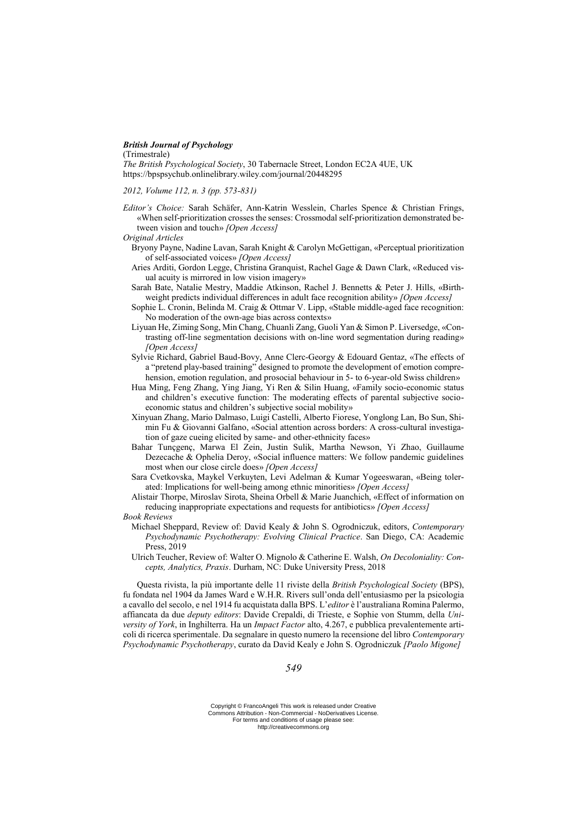## *British Journal of Psychology*

(Trimestrale)

*The British Psychological Society*, 30 Tabernacle Street, London EC2A 4UE, UK https://bpspsychub.onlinelibrary.wiley.com/journal/20448295

*2012, Volume 112, n. 3 (pp. 573-831)*

- *Editor's Choice:* Sarah Schäfer, Ann-Katrin Wesslein, Charles Spence & Christian Frings, «When self-prioritization crosses the senses: Crossmodal self-prioritization demonstrated between vision and touch» *[Open Access]*
- *Original Articles*
	- Bryony Payne, Nadine Lavan, Sarah Knight & Carolyn McGettigan, «Perceptual prioritization of self-associated voices» *[Open Access]*
	- Aries Arditi, Gordon Legge, Christina Granquist, Rachel Gage & Dawn Clark, «Reduced visual acuity is mirrored in low vision imagery»
	- Sarah Bate, Natalie Mestry, Maddie Atkinson, Rachel J. Bennetts & Peter J. Hills, «Birthweight predicts individual differences in adult face recognition ability» *[Open Access]*
	- Sophie L. Cronin, Belinda M. Craig & Ottmar V. Lipp, «Stable middle-aged face recognition: No moderation of the own-age bias across contexts»
	- Liyuan He, Ziming Song, Min Chang, Chuanli Zang, Guoli Yan & Simon P. Liversedge, «Contrasting off-line segmentation decisions with on-line word segmentation during reading» *[Open Access]*
	- Sylvie Richard, Gabriel Baud-Bovy, Anne Clerc-Georgy & Edouard Gentaz, «The effects of a "pretend play-based training" designed to promote the development of emotion comprehension, emotion regulation, and prosocial behaviour in 5- to 6-year-old Swiss children»
	- Hua Ming, Feng Zhang, Ying Jiang, Yi Ren & Silin Huang, «Family socio-economic status and children's executive function: The moderating effects of parental subjective socioeconomic status and children's subjective social mobility»
	- Xinyuan Zhang, Mario Dalmaso, Luigi Castelli, Alberto Fiorese, Yonglong Lan, Bo Sun, Shimin Fu & Giovanni Galfano, «Social attention across borders: A cross-cultural investigation of gaze cueing elicited by same- and other-ethnicity faces»
	- Bahar Tunçgenç, Marwa El Zein, Justin Sulik, Martha Newson, Yi Zhao, Guillaume Dezecache & Ophelia Deroy, «Social influence matters: We follow pandemic guidelines most when our close circle does» *[Open Access]*
	- Sara Cvetkovska, Maykel Verkuyten, Levi Adelman & Kumar Yogeeswaran, «Being tolerated: Implications for well-being among ethnic minorities» *[Open Access]*
	- Alistair Thorpe, Miroslav Sirota, Sheina Orbell & Marie Juanchich, «Effect of information on reducing inappropriate expectations and requests for antibiotics» *[Open Access]*

### *Book Reviews*

- Michael Sheppard, Review of: David Kealy & John S. Ogrodniczuk, editors, *Contemporary Psychodynamic Psychotherapy: Evolving Clinical Practice*. San Diego, CA: Academic Press, 2019
- Ulrich Teucher, Review of: Walter O. Mignolo & Catherine E. Walsh, *On Decoloniality: Concepts, Analytics, Praxis*. Durham, NC: Duke University Press, 2018

Questa rivista, la più importante delle 11 riviste della *British Psychological Society* (BPS), fu fondata nel 1904 da James Ward e W.H.R. Rivers sull'onda dell'entusiasmo per la psicologia a cavallo del secolo, e nel 1914 fu acquistata dalla BPS. L'*editor* è l'australiana Romina Palermo, affiancata da due *deputy editors*: Davide Crepaldi, di Trieste, e Sophie von Stumm, della *University of York*, in Inghilterra. Ha un *Impact Factor* alto, 4.267, e pubblica prevalentemente articoli di ricerca sperimentale. Da segnalare in questo numero la recensione del libro *Contemporary Psychodynamic Psychotherapy*, curato da David Kealy e John S. Ogrodniczuk *[Paolo Migone]*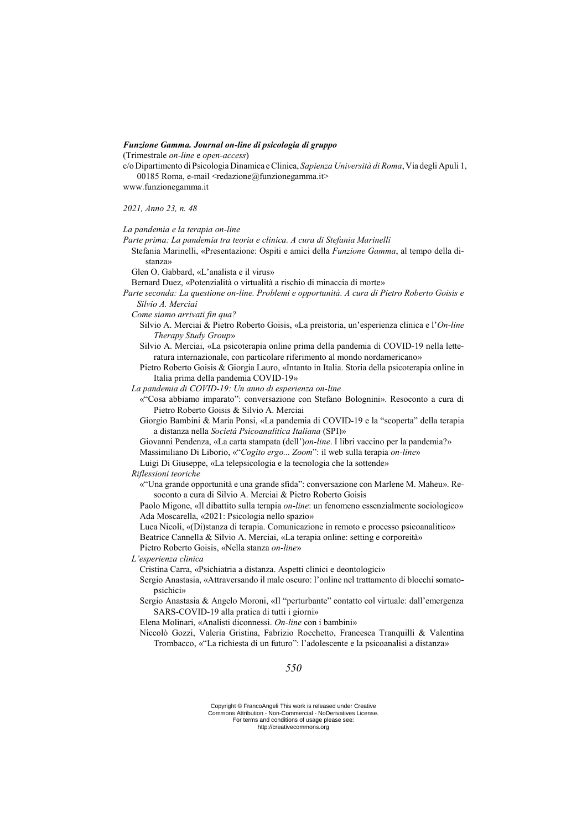### *Funzione Gamma. Journal on-line di psicologia di gruppo*

(Trimestrale *on-line* e *open-access*)

c/o Dipartimento diPsicologia Dinamica eClinica, *Sapienza Università di Roma*,Via degli Apuli 1, 00185 Roma, e-mail  $\leq$ redazione@funzionegamma.it $\geq$ 

www.funzionegamma.it

*2021, Anno 23, n. 48*

*La pandemia e la terapia on-line*

*Parte prima: La pandemia tra teoria e clinica. A cura di Stefania Marinelli*

Stefania Marinelli, «Presentazione: Ospiti e amici della *Funzione Gamma*, al tempo della distanza»

Glen O. Gabbard, «L'analista e il virus»

Bernard Duez, «Potenzialità o virtualità a rischio di minaccia di morte»

- *Parte seconda: La questione on-line. Problemi e opportunità. A cura di Pietro Roberto Goisis e Silvio A. Merciai*
	- *Come siamo arrivati fin qua?*
		- Silvio A. Merciai & Pietro Roberto Goisis, «La preistoria, un'esperienza clinica e l'*On-line Therapy Study Group*»
		- Silvio A. Merciai, «La psicoterapia online prima della pandemia di COVID-19 nella letteratura internazionale, con particolare riferimento al mondo nordamericano»
		- Pietro Roberto Goisis & Giorgia Lauro, «Intanto in Italia. Storia della psicoterapia online in Italia prima della pandemia COVID-19»
	- *La pandemia di COVID-19: Un anno di esperienza on-line*
		- «"Cosa abbiamo imparato": conversazione con Stefano Bolognini». Resoconto a cura di Pietro Roberto Goisis & Silvio A. Merciai
		- Giorgio Bambini & Maria Ponsi, «La pandemia di COVID-19 e la "scoperta" della terapia a distanza nella *Società Psicoanalitica Italiana* (SPI)»
		- Giovanni Pendenza, «La carta stampata (dell')*on-line*. I libri vaccino per la pandemia?» Massimiliano Di Liborio, «"*Cogito ergo... Zoom*": il web sulla terapia *on-line*»

Luigi Di Giuseppe, «La telepsicologia e la tecnologia che la sottende»

- *Riflessioni teoriche*
	- «"Una grande opportunità e una grande sfida": conversazione con Marlene M. Maheu». Resoconto a cura di Silvio A. Merciai & Pietro Roberto Goisis

Paolo Migone, «Il dibattito sulla terapia *on-line*: un fenomeno essenzialmente sociologico» Ada Moscarella, «2021: Psicologia nello spazio»

Luca Nicoli, «(Di)stanza di terapia. Comunicazione in remoto e processo psicoanalitico» Beatrice Cannella & Silvio A. Merciai, «La terapia online: setting e corporeità»

Pietro Roberto Goisis, «Nella stanza *on-line*»

*L'esperienza clinica*

Cristina Carra, «Psichiatria a distanza. Aspetti clinici e deontologici»

- Sergio Anastasia, «Attraversando il male oscuro: l'online nel trattamento di blocchi somatopsichici»
- Sergio Anastasia & Angelo Moroni, «Il "perturbante" contatto col virtuale: dall'emergenza SARS-COVID-19 alla pratica di tutti i giorni»

Elena Molinari, «Analisti diconnessi. *On-line* con i bambini»

Niccolò Gozzi, Valeria Gristina, Fabrizio Rocchetto, Francesca Tranquilli & Valentina Trombacco, «"La richiesta di un futuro": l'adolescente e la psicoanalisi a distanza»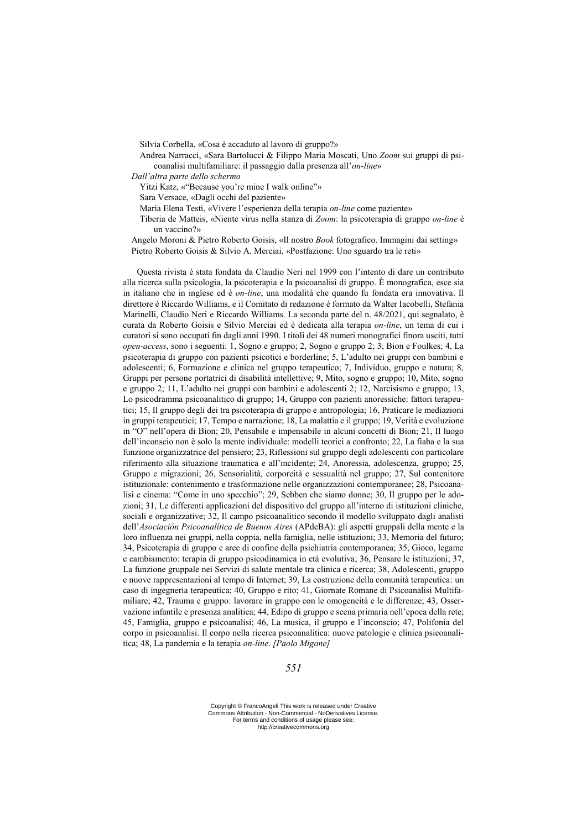Silvia Corbella, «Cosa è accaduto al lavoro di gruppo?»

- Andrea Narracci, «Sara Bartolucci & Filippo Maria Moscati, Uno *Zoom* sui gruppi di psicoanalisi multifamiliare: il passaggio dalla presenza all'*on-line*»
- *Dall'altra parte dello schermo*
	- Yitzi Katz, «"Because you're mine I walk online"»
	- Sara Versace, «Dagli occhi del paziente»
	- Maria Elena Testi, «Vivere l'esperienza della terapia *on-line* come paziente»
	- Tiberia de Matteis, «Niente virus nella stanza di *Zoom*: la psicoterapia di gruppo *on-line* è un vaccino?»
- Angelo Moroni & Pietro Roberto Goisis, «Il nostro *Book* fotografico. Immagini dai setting» Pietro Roberto Goisis & Silvio A. Merciai, «Postfazione: Uno sguardo tra le reti»

Questa rivista è stata fondata da Claudio Neri nel 1999 con l'intento di dare un contributo alla ricerca sulla psicologia, la psicoterapia e la psicoanalisi di gruppo. È monografica, esce sia in italiano che in inglese ed è *on-line*, una modalità che quando fu fondata era innovativa. Il direttore è Riccardo Williams, e il Comitato di redazione è formato da Walter Iacobelli, Stefania Marinelli, Claudio Neri e Riccardo Williams. La seconda parte del n. 48/2021, qui segnalato, è curata da Roberto Goisis e Silvio Merciai ed è dedicata alla terapia *on-line*, un tema di cui i curatori si sono occupati fin dagli anni 1990. I titoli dei 48 numeri monografici finora usciti, tutti *open-access*, sono i seguenti: 1, Sogno e gruppo; 2, Sogno e gruppo 2; 3, Bion e Foulkes; 4, La psicoterapia di gruppo con pazienti psicotici e borderline; 5, L'adulto nei gruppi con bambini e adolescenti; 6, Formazione e clinica nel gruppo terapeutico; 7, Individuo, gruppo e natura; 8, Gruppi per persone portatrici di disabilità intellettive; 9, Mito, sogno e gruppo; 10, Mito, sogno e gruppo 2; 11, L'adulto nei gruppi con bambini e adolescenti 2; 12, Narcisismo e gruppo; 13, Lo psicodramma psicoanalitico di gruppo; 14, Gruppo con pazienti anoressiche: fattori terapeutici; 15, Il gruppo degli dei tra psicoterapia di gruppo e antropologia; 16, Praticare le mediazioni in gruppi terapeutici; 17, Tempo e narrazione; 18, La malattia e il gruppo; 19, Verità e evoluzione in "O" nell'opera di Bion; 20, Pensabile e impensabile in alcuni concetti di Bion; 21, Il luogo dell'inconscio non è solo la mente individuale: modelli teorici a confronto; 22, La fiaba e la sua funzione organizzatrice del pensiero; 23, Riflessioni sul gruppo degli adolescenti con particolare riferimento alla situazione traumatica e all'incidente; 24, Anoressia, adolescenza, gruppo; 25, Gruppo e migrazioni; 26, Sensorialità, corporeità e sessualità nel gruppo; 27, Sul contenitore istituzionale: contenimento e trasformazione nelle organizzazioni contemporanee; 28, Psicoanalisi e cinema: "Come in uno specchio"; 29, Sebben che siamo donne; 30, Il gruppo per le adozioni; 31, Le differenti applicazioni del dispositivo del gruppo all'interno di istituzioni cliniche, sociali e organizzative; 32, Il campo psicoanalitico secondo il modello sviluppato dagli analisti dell'*Asociación Psicoanalítica de Buenos Aires* (APdeBA): gli aspetti gruppali della mente e la loro influenza nei gruppi, nella coppia, nella famiglia, nelle istituzioni; 33, Memoria del futuro; 34, Psicoterapia di gruppo e aree di confine della psichiatria contemporanea; 35, Gioco, legame e cambiamento: terapia di gruppo psicodinamica in età evolutiva; 36, Pensare le istituzioni; 37, La funzione gruppale nei Servizi di salute mentale tra clinica e ricerca; 38, Adolescenti, gruppo e nuove rappresentazioni al tempo di Internet; 39, La costruzione della comunità terapeutica: un caso di ingegneria terapeutica; 40, Gruppo e rito; 41, Giornate Romane di Psicoanalisi Multifamiliare; 42, Trauma e gruppo: lavorare in gruppo con le omogeneità e le differenze; 43, Osservazione infantile e presenza analitica; 44, Edipo di gruppo e scena primaria nell'epoca della rete; 45, Famiglia, gruppo e psicoanalisi; 46, La musica, il gruppo e l'inconscio; 47, Polifonia del corpo in psicoanalisi. Il corpo nella ricerca psicoanalitica: nuove patologie e clinica psicoanalitica; 48, La pandemia e la terapia *on-line*. *[Paolo Migone]*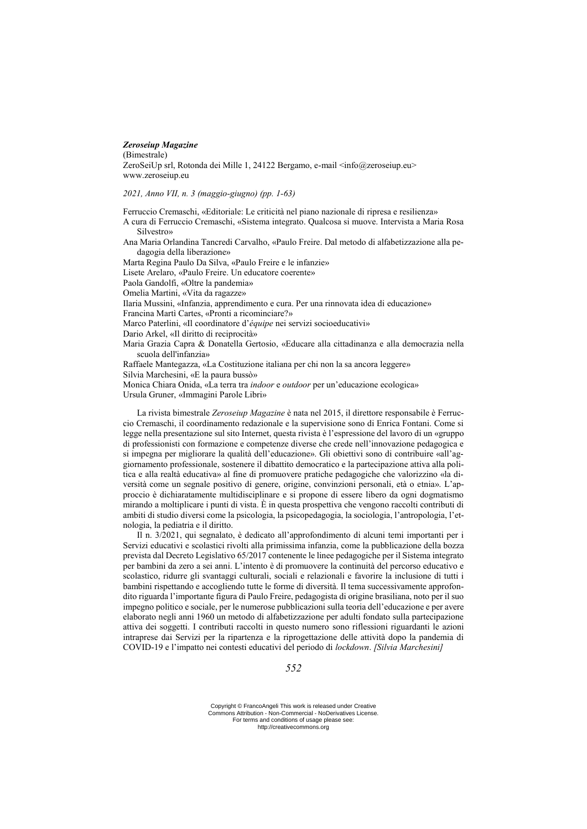#### *Zeroseiup Magazine*

(Bimestrale)

ZeroSeiUp srl, Rotonda dei Mille 1, 24122 Bergamo, e-mail <info@zeroseiup.eu> www.zeroseiup.eu

*2021, Anno VII, n. 3 (maggio-giugno) (pp. 1-63)*

Ferruccio Cremaschi, «Editoriale: Le criticità nel piano nazionale di ripresa e resilienza» A cura di Ferruccio Cremaschi, «Sistema integrato. Qualcosa si muove. Intervista a Maria Rosa Silvestro» Ana Maria Orlandina Tancredi Carvalho, «Paulo Freire. Dal metodo di alfabetizzazione alla pedagogia della liberazione» Marta Regina Paulo Da Silva, «Paulo Freire e le infanzie» Lisete Arelaro, «Paulo Freire. Un educatore coerente» Paola Gandolfi, «Oltre la pandemia» Omelia Martini, «Vita da ragazze» Ilaria Mussini, «Infanzia, apprendimento e cura. Per una rinnovata idea di educazione» Francina Martì Cartes, «Pronti a ricominciare?» Marco Paterlini, «Il coordinatore d'*équipe* nei servizi socioeducativi» Dario Arkel, «Il diritto di reciprocità» Maria Grazia Capra & Donatella Gertosio, «Educare alla cittadinanza e alla democrazia nella scuola dell'infanzia» Raffaele Mantegazza, «La Costituzione italiana per chi non la sa ancora leggere» Silvia Marchesini, «E la paura bussò» Monica Chiara Onida, «La terra tra *indoor* e *outdoor* per un'educazione ecologica» Ursula Gruner, «Immagini Parole Libri»

La rivista bimestrale *Zeroseiup Magazine* è nata nel 2015, il direttore responsabile è Ferruccio Cremaschi, il coordinamento redazionale e la supervisione sono di Enrica Fontani. Come si legge nella presentazione sul sito Internet, questa rivista è l'espressione del lavoro di un «gruppo di professionisti con formazione e competenze diverse che crede nell'innovazione pedagogica e si impegna per migliorare la qualità dell'educazione». Gli obiettivi sono di contribuire «all'aggiornamento professionale, sostenere il dibattito democratico e la partecipazione attiva alla politica e alla realtà educativa» al fine di promuovere pratiche pedagogiche che valorizzino «la diversità come un segnale positivo di genere, origine, convinzioni personali, età o etnia». L'approccio è dichiaratamente multidisciplinare e si propone di essere libero da ogni dogmatismo mirando a moltiplicare i punti di vista. È in questa prospettiva che vengono raccolti contributi di ambiti di studio diversi come la psicologia, la psicopedagogia, la sociologia, l'antropologia, l'etnologia, la pediatria e il diritto.

Il n. 3/2021, qui segnalato, è dedicato all'approfondimento di alcuni temi importanti per i Servizi educativi e scolastici rivolti alla primissima infanzia, come la pubblicazione della bozza prevista dal Decreto Legislativo 65/2017 contenente le linee pedagogiche per il Sistema integrato per bambini da zero a sei anni. L'intento è di promuovere la continuità del percorso educativo e scolastico, ridurre gli svantaggi culturali, sociali e relazionali e favorire la inclusione di tutti i bambini rispettando e accogliendo tutte le forme di diversità. Il tema successivamente approfondito riguarda l'importante figura di Paulo Freire, pedagogista di origine brasiliana, noto per il suo impegno politico e sociale, per le numerose pubblicazioni sulla teoria dell'educazione e per avere elaborato negli anni 1960 un metodo di alfabetizzazione per adulti fondato sulla partecipazione attiva dei soggetti. I contributi raccolti in questo numero sono riflessioni riguardanti le azioni intraprese dai Servizi per la ripartenza e la riprogettazione delle attività dopo la pandemia di COVID-19 e l'impatto nei contesti educativi del periodo di *lockdown*. *[Silvia Marchesini]*